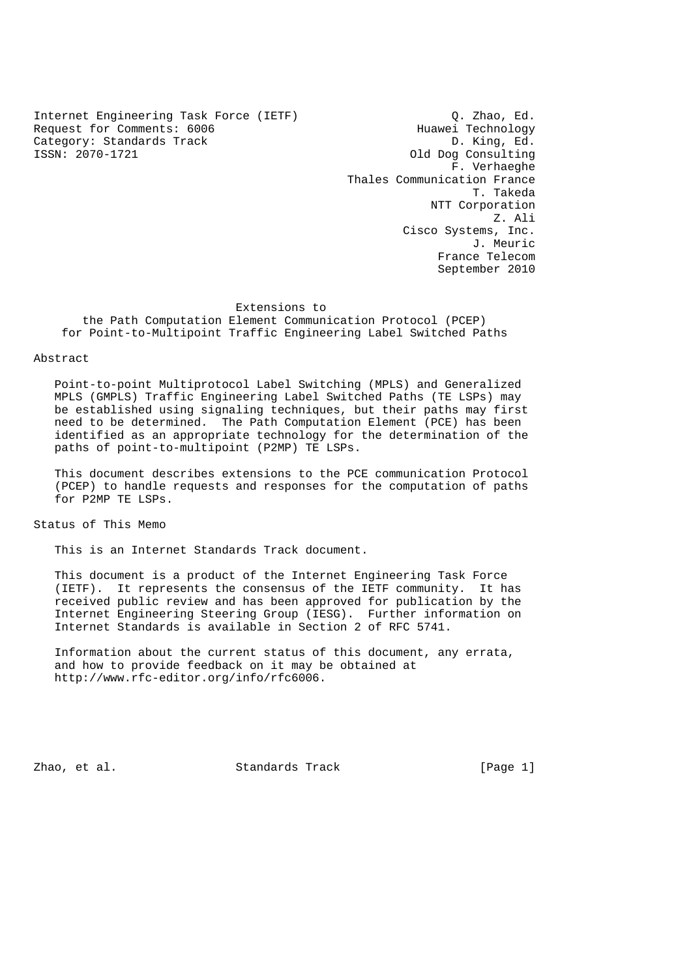Internet Engineering Task Force (IETF) (2. Zhao, Ed.<br>Request for Comments: 6006 (IETF) (2. Huawei Technology Request for Comments: 6006 Huawei Technology<br>Category: Standards Track Track D. King, Ed. Category: Standards Track ISSN: 2070-1721 Old Dog Consulting

 F. Verhaeghe Thales Communication France T. Takeda NTT Corporation Z. Ali Cisco Systems, Inc. J. Meuric France Telecom September 2010

#### Extensions to

 the Path Computation Element Communication Protocol (PCEP) for Point-to-Multipoint Traffic Engineering Label Switched Paths

#### Abstract

 Point-to-point Multiprotocol Label Switching (MPLS) and Generalized MPLS (GMPLS) Traffic Engineering Label Switched Paths (TE LSPs) may be established using signaling techniques, but their paths may first need to be determined. The Path Computation Element (PCE) has been identified as an appropriate technology for the determination of the paths of point-to-multipoint (P2MP) TE LSPs.

 This document describes extensions to the PCE communication Protocol (PCEP) to handle requests and responses for the computation of paths for P2MP TE LSPs.

Status of This Memo

This is an Internet Standards Track document.

 This document is a product of the Internet Engineering Task Force (IETF). It represents the consensus of the IETF community. It has received public review and has been approved for publication by the Internet Engineering Steering Group (IESG). Further information on Internet Standards is available in Section 2 of RFC 5741.

 Information about the current status of this document, any errata, and how to provide feedback on it may be obtained at http://www.rfc-editor.org/info/rfc6006.

Zhao, et al. Standards Track [Page 1]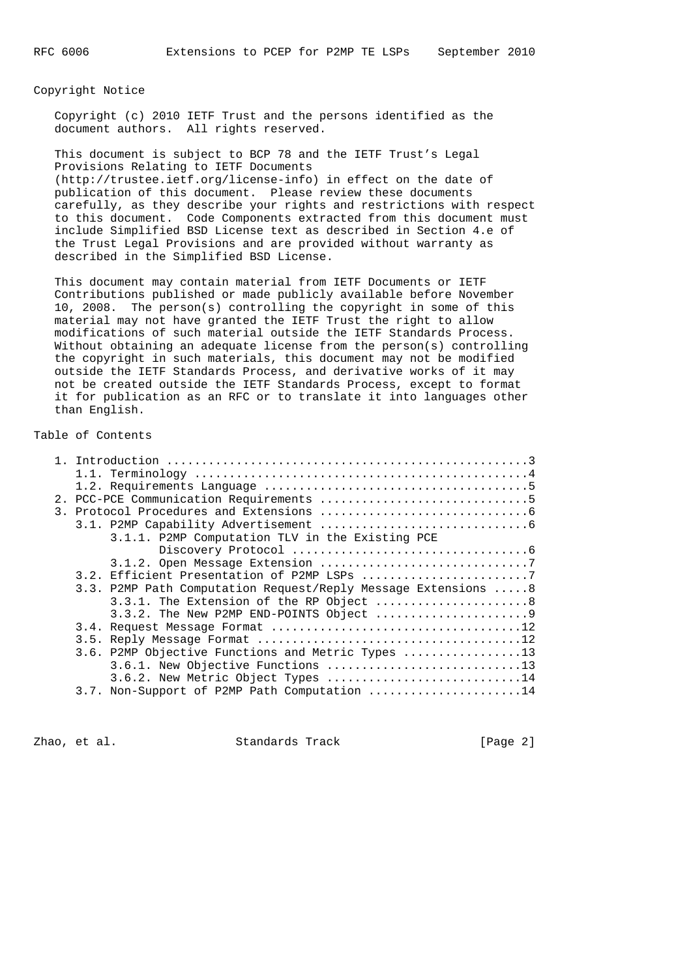Copyright Notice

 Copyright (c) 2010 IETF Trust and the persons identified as the document authors. All rights reserved.

 This document is subject to BCP 78 and the IETF Trust's Legal Provisions Relating to IETF Documents (http://trustee.ietf.org/license-info) in effect on the date of publication of this document. Please review these documents carefully, as they describe your rights and restrictions with respect to this document. Code Components extracted from this document must include Simplified BSD License text as described in Section 4.e of the Trust Legal Provisions and are provided without warranty as described in the Simplified BSD License.

 This document may contain material from IETF Documents or IETF Contributions published or made publicly available before November 10, 2008. The person(s) controlling the copyright in some of this material may not have granted the IETF Trust the right to allow modifications of such material outside the IETF Standards Process. Without obtaining an adequate license from the person(s) controlling the copyright in such materials, this document may not be modified outside the IETF Standards Process, and derivative works of it may not be created outside the IETF Standards Process, except to format it for publication as an RFC or to translate it into languages other than English.

# Table of Contents

|  | 3.1.1. P2MP Computation TLV in the Existing PCE                |
|--|----------------------------------------------------------------|
|  |                                                                |
|  |                                                                |
|  |                                                                |
|  | 3.3. P2MP Path Computation Request/Reply Message Extensions  8 |
|  | 3.3.1. The Extension of the RP Object  8                       |
|  |                                                                |
|  |                                                                |
|  |                                                                |
|  | 3.6. P2MP Objective Functions and Metric Types 13              |
|  | 3.6.1. New Objective Functions 13                              |
|  |                                                                |
|  | 3.6.2. New Metric Object Types 14                              |
|  | 3.7. Non-Support of P2MP Path Computation 14                   |

Zhao, et al. Standards Track [Page 2]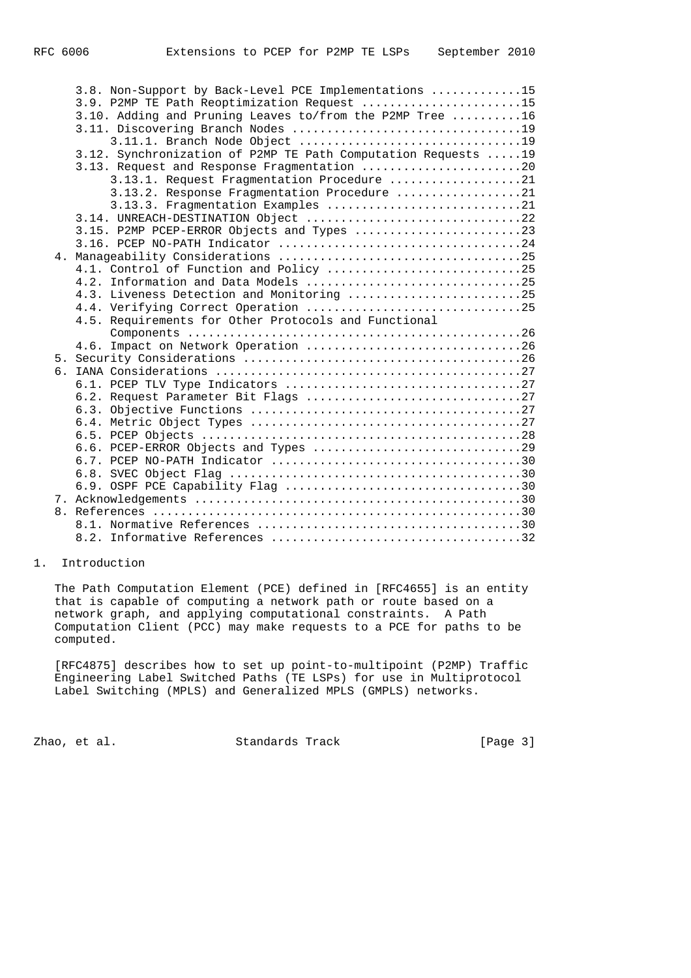|    | 3.8. Non-Support by Back-Level PCE Implementations 15<br>3.9. P2MP TE Path Reoptimization Request 15<br>3.10. Adding and Pruning Leaves to/from the P2MP Tree 16<br>3.12. Synchronization of P2MP TE Path Computation Requests  19<br>3.13. Request and Response Fragmentation 20<br>3.13.1. Request Fragmentation Procedure 21<br>3.13.2. Response Fragmentation Procedure 21<br>3.13.3. Fragmentation Examples 21 |
|----|---------------------------------------------------------------------------------------------------------------------------------------------------------------------------------------------------------------------------------------------------------------------------------------------------------------------------------------------------------------------------------------------------------------------|
|    | 3.14. UNREACH-DESTINATION Object 22                                                                                                                                                                                                                                                                                                                                                                                 |
|    | 3.15. P2MP PCEP-ERROR Objects and Types 23                                                                                                                                                                                                                                                                                                                                                                          |
|    |                                                                                                                                                                                                                                                                                                                                                                                                                     |
|    |                                                                                                                                                                                                                                                                                                                                                                                                                     |
|    | 4.2. Information and Data Models 25                                                                                                                                                                                                                                                                                                                                                                                 |
|    | 4.3. Liveness Detection and Monitoring 25                                                                                                                                                                                                                                                                                                                                                                           |
|    |                                                                                                                                                                                                                                                                                                                                                                                                                     |
|    | 4.5. Requirements for Other Protocols and Functional                                                                                                                                                                                                                                                                                                                                                                |
|    |                                                                                                                                                                                                                                                                                                                                                                                                                     |
|    | 4.6. Impact on Network Operation 26                                                                                                                                                                                                                                                                                                                                                                                 |
| б. |                                                                                                                                                                                                                                                                                                                                                                                                                     |
|    |                                                                                                                                                                                                                                                                                                                                                                                                                     |
|    |                                                                                                                                                                                                                                                                                                                                                                                                                     |
|    |                                                                                                                                                                                                                                                                                                                                                                                                                     |
|    |                                                                                                                                                                                                                                                                                                                                                                                                                     |
|    |                                                                                                                                                                                                                                                                                                                                                                                                                     |
|    |                                                                                                                                                                                                                                                                                                                                                                                                                     |
|    |                                                                                                                                                                                                                                                                                                                                                                                                                     |
|    |                                                                                                                                                                                                                                                                                                                                                                                                                     |
|    |                                                                                                                                                                                                                                                                                                                                                                                                                     |
|    |                                                                                                                                                                                                                                                                                                                                                                                                                     |
|    |                                                                                                                                                                                                                                                                                                                                                                                                                     |
|    |                                                                                                                                                                                                                                                                                                                                                                                                                     |

# 1. Introduction

 The Path Computation Element (PCE) defined in [RFC4655] is an entity that is capable of computing a network path or route based on a network graph, and applying computational constraints. A Path Computation Client (PCC) may make requests to a PCE for paths to be computed.

 [RFC4875] describes how to set up point-to-multipoint (P2MP) Traffic Engineering Label Switched Paths (TE LSPs) for use in Multiprotocol Label Switching (MPLS) and Generalized MPLS (GMPLS) networks.

zhao, et al. Standards Track [Page 3]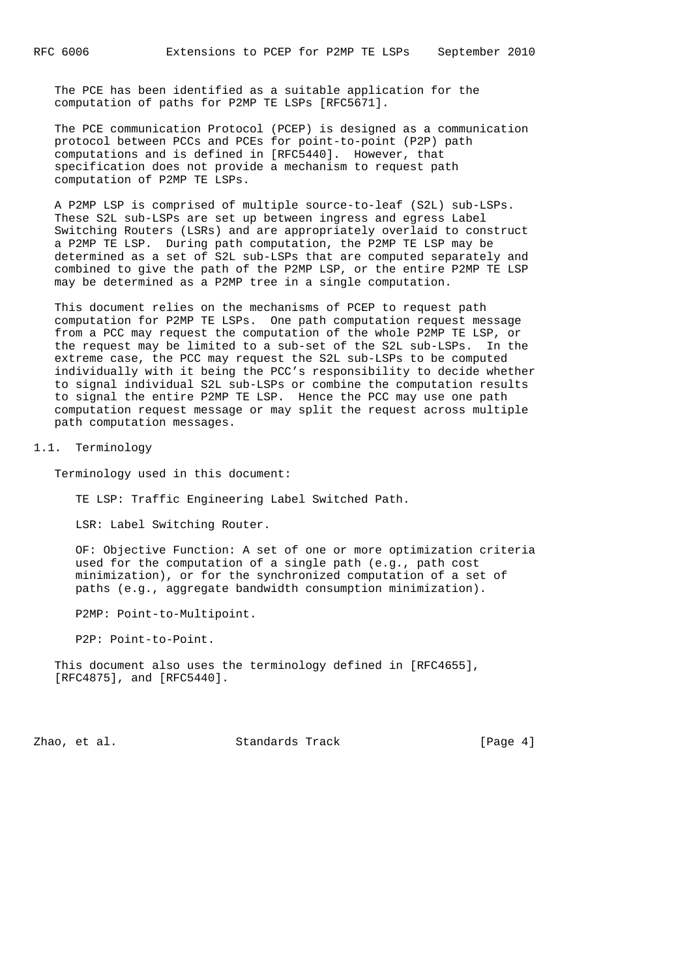The PCE has been identified as a suitable application for the computation of paths for P2MP TE LSPs [RFC5671].

 The PCE communication Protocol (PCEP) is designed as a communication protocol between PCCs and PCEs for point-to-point (P2P) path computations and is defined in [RFC5440]. However, that specification does not provide a mechanism to request path computation of P2MP TE LSPs.

 A P2MP LSP is comprised of multiple source-to-leaf (S2L) sub-LSPs. These S2L sub-LSPs are set up between ingress and egress Label Switching Routers (LSRs) and are appropriately overlaid to construct a P2MP TE LSP. During path computation, the P2MP TE LSP may be determined as a set of S2L sub-LSPs that are computed separately and combined to give the path of the P2MP LSP, or the entire P2MP TE LSP may be determined as a P2MP tree in a single computation.

 This document relies on the mechanisms of PCEP to request path computation for P2MP TE LSPs. One path computation request message from a PCC may request the computation of the whole P2MP TE LSP, or the request may be limited to a sub-set of the S2L sub-LSPs. In the extreme case, the PCC may request the S2L sub-LSPs to be computed individually with it being the PCC's responsibility to decide whether to signal individual S2L sub-LSPs or combine the computation results to signal the entire P2MP TE LSP. Hence the PCC may use one path computation request message or may split the request across multiple path computation messages.

#### 1.1. Terminology

Terminology used in this document:

TE LSP: Traffic Engineering Label Switched Path.

LSR: Label Switching Router.

 OF: Objective Function: A set of one or more optimization criteria used for the computation of a single path (e.g., path cost minimization), or for the synchronized computation of a set of paths (e.g., aggregate bandwidth consumption minimization).

P2MP: Point-to-Multipoint.

P2P: Point-to-Point.

 This document also uses the terminology defined in [RFC4655], [RFC4875], and [RFC5440].

Zhao, et al. Standards Track [Page 4]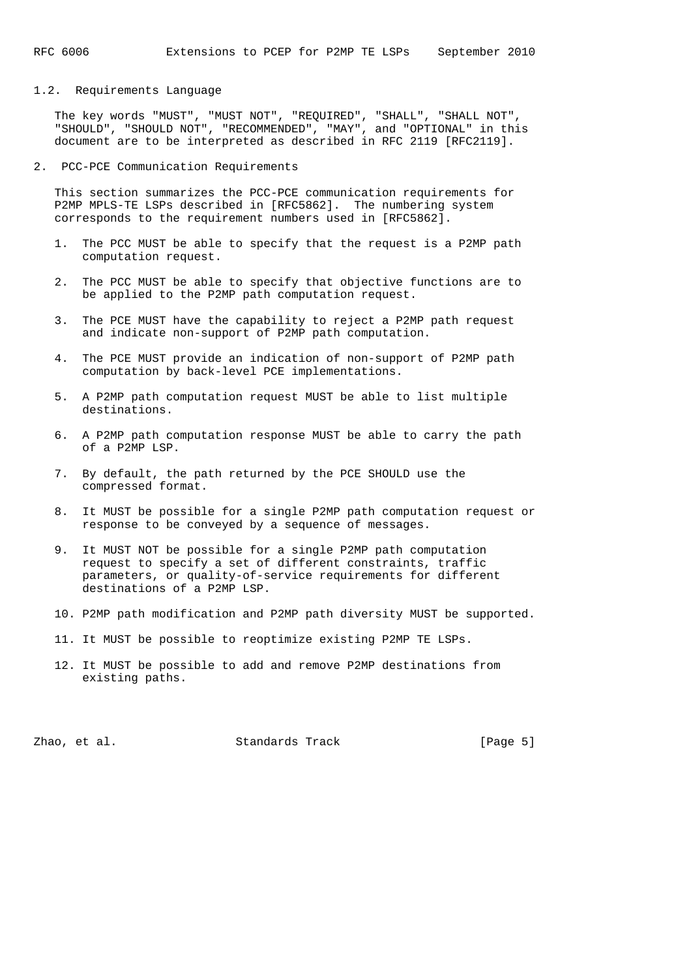#### 1.2. Requirements Language

 The key words "MUST", "MUST NOT", "REQUIRED", "SHALL", "SHALL NOT", "SHOULD", "SHOULD NOT", "RECOMMENDED", "MAY", and "OPTIONAL" in this document are to be interpreted as described in RFC 2119 [RFC2119].

2. PCC-PCE Communication Requirements

 This section summarizes the PCC-PCE communication requirements for P2MP MPLS-TE LSPs described in [RFC5862]. The numbering system corresponds to the requirement numbers used in [RFC5862].

- 1. The PCC MUST be able to specify that the request is a P2MP path computation request.
- 2. The PCC MUST be able to specify that objective functions are to be applied to the P2MP path computation request.
- 3. The PCE MUST have the capability to reject a P2MP path request and indicate non-support of P2MP path computation.
- 4. The PCE MUST provide an indication of non-support of P2MP path computation by back-level PCE implementations.
- 5. A P2MP path computation request MUST be able to list multiple destinations.
- 6. A P2MP path computation response MUST be able to carry the path of a P2MP LSP.
- 7. By default, the path returned by the PCE SHOULD use the compressed format.
- 8. It MUST be possible for a single P2MP path computation request or response to be conveyed by a sequence of messages.
- 9. It MUST NOT be possible for a single P2MP path computation request to specify a set of different constraints, traffic parameters, or quality-of-service requirements for different destinations of a P2MP LSP.
- 10. P2MP path modification and P2MP path diversity MUST be supported.
- 11. It MUST be possible to reoptimize existing P2MP TE LSPs.
- 12. It MUST be possible to add and remove P2MP destinations from existing paths.

Zhao, et al. Standards Track [Page 5]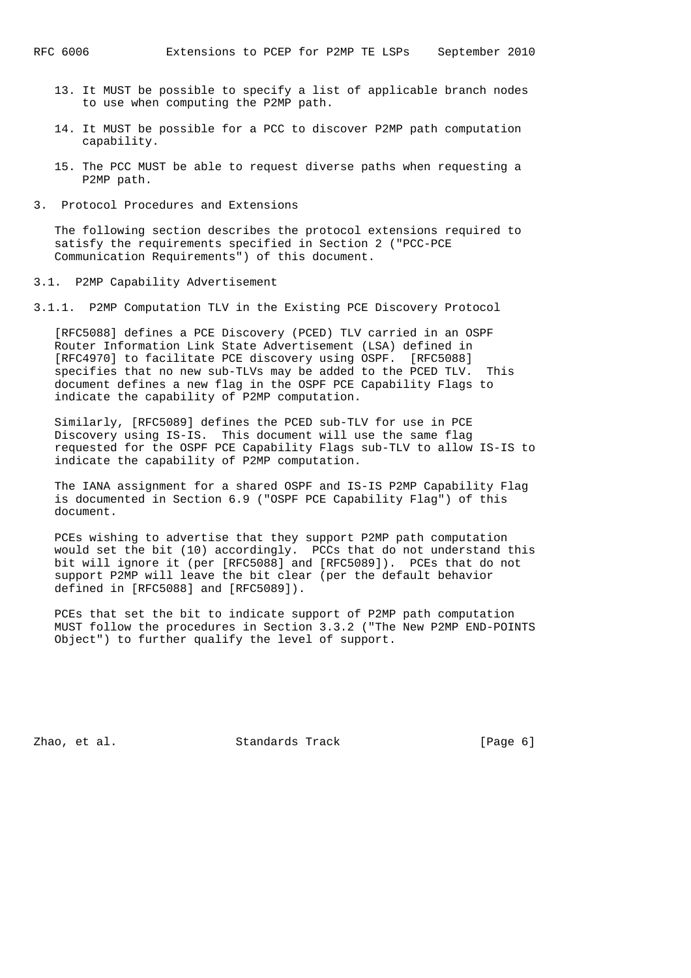- 13. It MUST be possible to specify a list of applicable branch nodes to use when computing the P2MP path.
- 14. It MUST be possible for a PCC to discover P2MP path computation capability.
- 15. The PCC MUST be able to request diverse paths when requesting a P2MP path.
- 3. Protocol Procedures and Extensions

 The following section describes the protocol extensions required to satisfy the requirements specified in Section 2 ("PCC-PCE Communication Requirements") of this document.

3.1. P2MP Capability Advertisement

3.1.1. P2MP Computation TLV in the Existing PCE Discovery Protocol

 [RFC5088] defines a PCE Discovery (PCED) TLV carried in an OSPF Router Information Link State Advertisement (LSA) defined in [RFC4970] to facilitate PCE discovery using OSPF. [RFC5088] specifies that no new sub-TLVs may be added to the PCED TLV. This document defines a new flag in the OSPF PCE Capability Flags to indicate the capability of P2MP computation.

 Similarly, [RFC5089] defines the PCED sub-TLV for use in PCE Discovery using IS-IS. This document will use the same flag requested for the OSPF PCE Capability Flags sub-TLV to allow IS-IS to indicate the capability of P2MP computation.

 The IANA assignment for a shared OSPF and IS-IS P2MP Capability Flag is documented in Section 6.9 ("OSPF PCE Capability Flag") of this document.

 PCEs wishing to advertise that they support P2MP path computation would set the bit (10) accordingly. PCCs that do not understand this bit will ignore it (per [RFC5088] and [RFC5089]). PCEs that do not support P2MP will leave the bit clear (per the default behavior defined in [RFC5088] and [RFC5089]).

 PCEs that set the bit to indicate support of P2MP path computation MUST follow the procedures in Section 3.3.2 ("The New P2MP END-POINTS Object") to further qualify the level of support.

Zhao, et al. Standards Track [Page 6]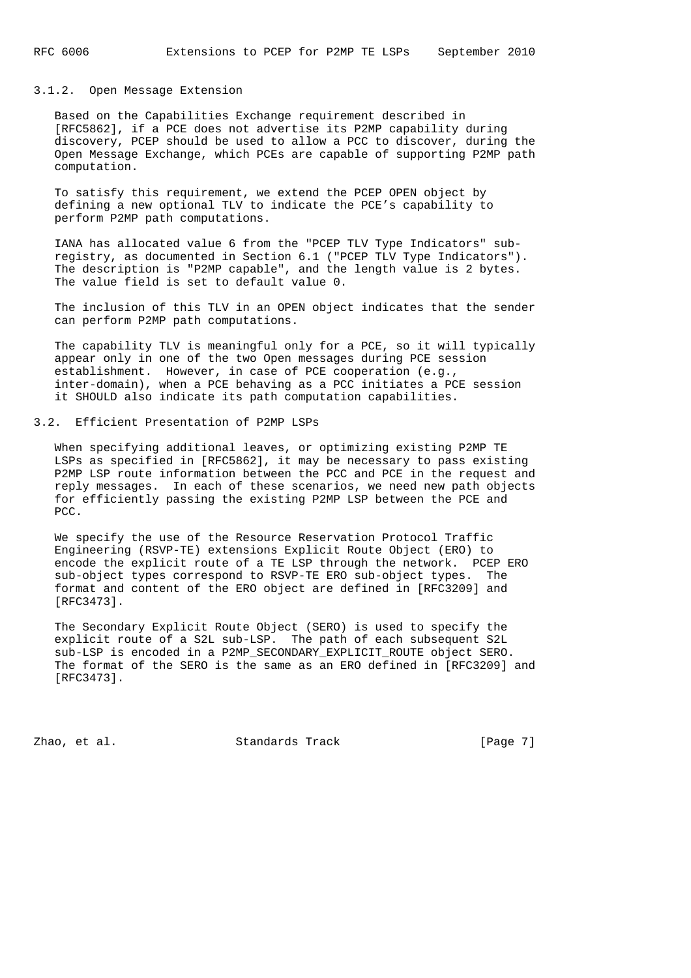#### 3.1.2. Open Message Extension

 Based on the Capabilities Exchange requirement described in [RFC5862], if a PCE does not advertise its P2MP capability during discovery, PCEP should be used to allow a PCC to discover, during the Open Message Exchange, which PCEs are capable of supporting P2MP path computation.

 To satisfy this requirement, we extend the PCEP OPEN object by defining a new optional TLV to indicate the PCE's capability to perform P2MP path computations.

 IANA has allocated value 6 from the "PCEP TLV Type Indicators" sub registry, as documented in Section 6.1 ("PCEP TLV Type Indicators"). The description is "P2MP capable", and the length value is 2 bytes. The value field is set to default value 0.

 The inclusion of this TLV in an OPEN object indicates that the sender can perform P2MP path computations.

 The capability TLV is meaningful only for a PCE, so it will typically appear only in one of the two Open messages during PCE session establishment. However, in case of PCE cooperation (e.g., inter-domain), when a PCE behaving as a PCC initiates a PCE session it SHOULD also indicate its path computation capabilities.

3.2. Efficient Presentation of P2MP LSPs

 When specifying additional leaves, or optimizing existing P2MP TE LSPs as specified in [RFC5862], it may be necessary to pass existing P2MP LSP route information between the PCC and PCE in the request and reply messages. In each of these scenarios, we need new path objects for efficiently passing the existing P2MP LSP between the PCE and PCC.

 We specify the use of the Resource Reservation Protocol Traffic Engineering (RSVP-TE) extensions Explicit Route Object (ERO) to encode the explicit route of a TE LSP through the network. PCEP ERO sub-object types correspond to RSVP-TE ERO sub-object types. The format and content of the ERO object are defined in [RFC3209] and [RFC3473].

 The Secondary Explicit Route Object (SERO) is used to specify the explicit route of a S2L sub-LSP. The path of each subsequent S2L sub-LSP is encoded in a P2MP\_SECONDARY\_EXPLICIT\_ROUTE object SERO. The format of the SERO is the same as an ERO defined in [RFC3209] and [RFC3473].

Zhao, et al. Standards Track [Page 7]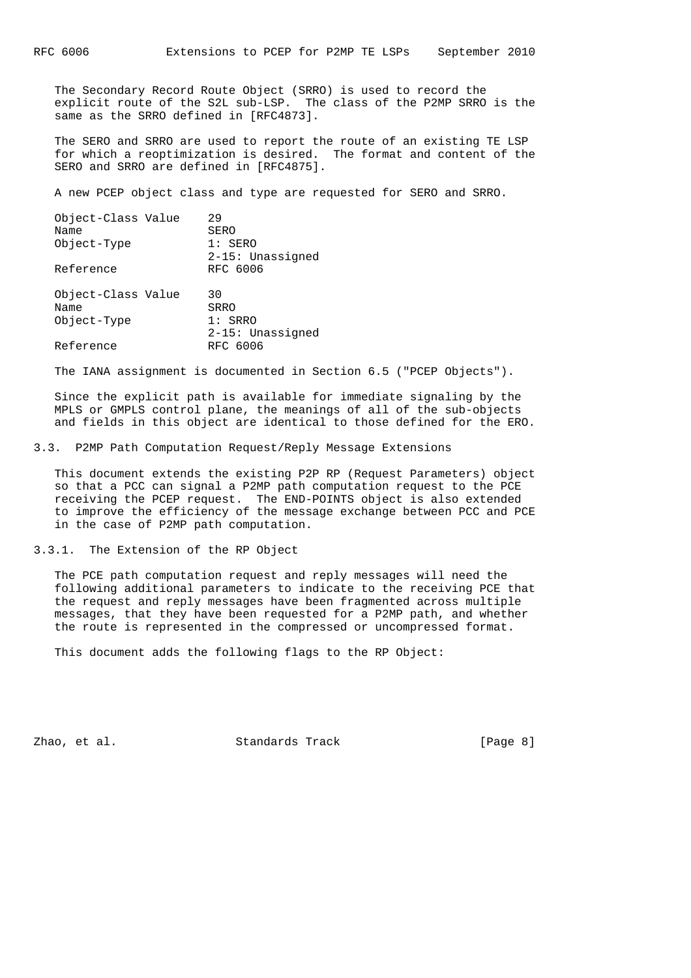The Secondary Record Route Object (SRRO) is used to record the explicit route of the S2L sub-LSP. The class of the P2MP SRRO is the same as the SRRO defined in [RFC4873].

 The SERO and SRRO are used to report the route of an existing TE LSP for which a reoptimization is desired. The format and content of the SERO and SRRO are defined in [RFC4875].

A new PCEP object class and type are requested for SERO and SRRO.

| Object-Class Value<br>Name<br>Object-Type<br>Reference | 29<br>SERO<br>$1:$ SERO<br>2-15: Unassigned<br>RFC 6006 |
|--------------------------------------------------------|---------------------------------------------------------|
| Object-Class Value<br>Name<br>Object-Type              | 30<br>SRRO<br>$1:$ SRRO<br>2-15: Unassigned             |
| Reference                                              | RFC 6006                                                |

The IANA assignment is documented in Section 6.5 ("PCEP Objects").

 Since the explicit path is available for immediate signaling by the MPLS or GMPLS control plane, the meanings of all of the sub-objects and fields in this object are identical to those defined for the ERO.

3.3. P2MP Path Computation Request/Reply Message Extensions

 This document extends the existing P2P RP (Request Parameters) object so that a PCC can signal a P2MP path computation request to the PCE receiving the PCEP request. The END-POINTS object is also extended to improve the efficiency of the message exchange between PCC and PCE in the case of P2MP path computation.

3.3.1. The Extension of the RP Object

 The PCE path computation request and reply messages will need the following additional parameters to indicate to the receiving PCE that the request and reply messages have been fragmented across multiple messages, that they have been requested for a P2MP path, and whether the route is represented in the compressed or uncompressed format.

This document adds the following flags to the RP Object:

Zhao, et al. Standards Track [Page 8]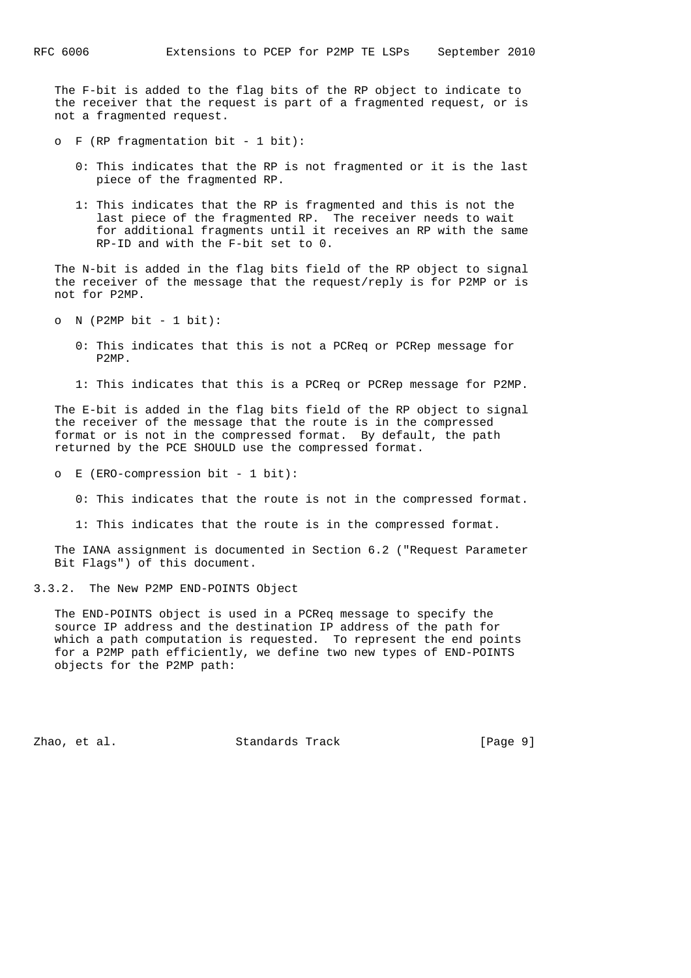The F-bit is added to the flag bits of the RP object to indicate to the receiver that the request is part of a fragmented request, or is not a fragmented request.

- o F (RP fragmentation bit 1 bit):
	- 0: This indicates that the RP is not fragmented or it is the last piece of the fragmented RP.
	- 1: This indicates that the RP is fragmented and this is not the last piece of the fragmented RP. The receiver needs to wait for additional fragments until it receives an RP with the same RP-ID and with the F-bit set to 0.

 The N-bit is added in the flag bits field of the RP object to signal the receiver of the message that the request/reply is for P2MP or is not for P2MP.

 $O$  N (P2MP bit  $-1$  bit):

- 0: This indicates that this is not a PCReq or PCRep message for P2MP.
- 1: This indicates that this is a PCReq or PCRep message for P2MP.

 The E-bit is added in the flag bits field of the RP object to signal the receiver of the message that the route is in the compressed format or is not in the compressed format. By default, the path returned by the PCE SHOULD use the compressed format.

o E (ERO-compression bit - 1 bit):

- 0: This indicates that the route is not in the compressed format.
- 1: This indicates that the route is in the compressed format.

 The IANA assignment is documented in Section 6.2 ("Request Parameter Bit Flags") of this document.

#### 3.3.2. The New P2MP END-POINTS Object

 The END-POINTS object is used in a PCReq message to specify the source IP address and the destination IP address of the path for which a path computation is requested. To represent the end points for a P2MP path efficiently, we define two new types of END-POINTS objects for the P2MP path:

Zhao, et al. Standards Track [Page 9]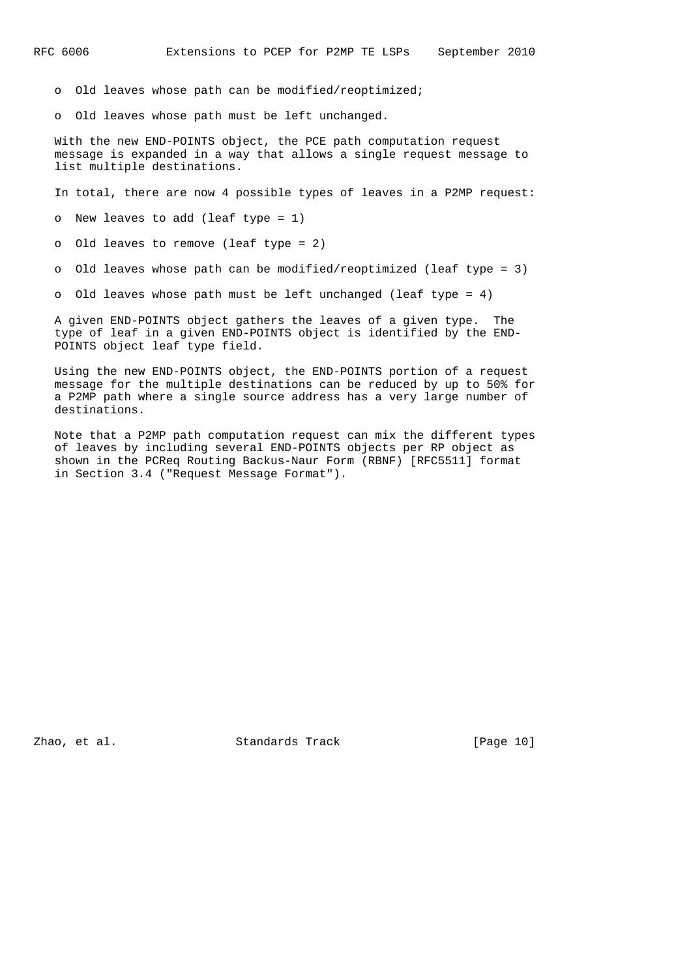o Old leaves whose path can be modified/reoptimized;

o Old leaves whose path must be left unchanged.

 With the new END-POINTS object, the PCE path computation request message is expanded in a way that allows a single request message to list multiple destinations.

In total, there are now 4 possible types of leaves in a P2MP request:

o New leaves to add (leaf type = 1)

o Old leaves to remove (leaf type = 2)

o Old leaves whose path can be modified/reoptimized (leaf type = 3)

o Old leaves whose path must be left unchanged (leaf type = 4)

 A given END-POINTS object gathers the leaves of a given type. The type of leaf in a given END-POINTS object is identified by the END- POINTS object leaf type field.

 Using the new END-POINTS object, the END-POINTS portion of a request message for the multiple destinations can be reduced by up to 50% for a P2MP path where a single source address has a very large number of destinations.

 Note that a P2MP path computation request can mix the different types of leaves by including several END-POINTS objects per RP object as shown in the PCReq Routing Backus-Naur Form (RBNF) [RFC5511] format in Section 3.4 ("Request Message Format").

Zhao, et al. Standards Track [Page 10]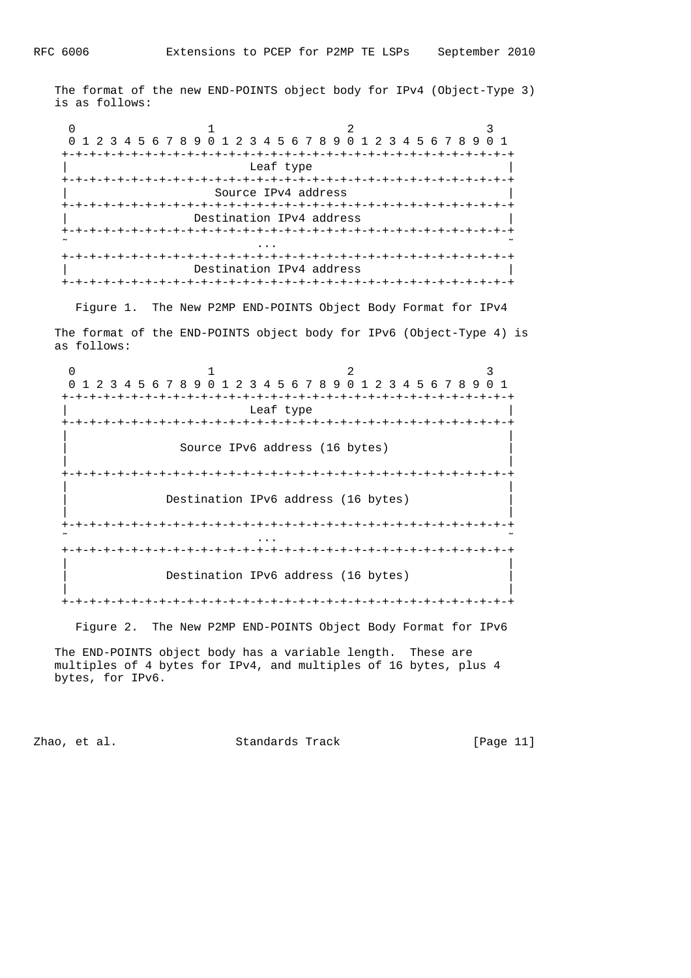The format of the new END-POINTS object body for IPv4 (Object-Type 3) is as follows:

 $0$  1 2 3 0 1 2 3 4 5 6 7 8 9 0 1 2 3 4 5 6 7 8 9 0 1 2 3 4 5 6 7 8 9 0 1 +-+-+-+-+-+-+-+-+-+-+-+-+-+-+-+-+-+-+-+-+-+-+-+-+-+-+-+-+-+-+-+-+ Leaf type +-+-+-+-+-+-+-+-+-+-+-+-+-+-+-+-+-+-+-+-+-+-+-+-+-+-+-+-+-+-+-+-+ Source IPv4 address +-+-+-+-+-+-+-+-+-+-+-+-+-+-+-+-+-+-+-+-+-+-+-+-+-+-+-+-+-+-+-+-+ Destination IPv4 address +-+-+-+-+-+-+-+-+-+-+-+-+-+-+-+-+-+-+-+-+-+-+-+-+-+-+-+-+-+-+-+-+  $\tilde{\mathcal{C}}$  . The contract of the contract of the contract of the contract of the contract of the contract of the contract of the contract of the contract of the contract of the contract of the contract of the contract of +-+-+-+-+-+-+-+-+-+-+-+-+-+-+-+-+-+-+-+-+-+-+-+-+-+-+-+-+-+-+-+-+ Destination IPv4 address +-+-+-+-+-+-+-+-+-+-+-+-+-+-+-+-+-+-+-+-+-+-+-+-+-+-+-+-+-+-+-+-+

Figure 1. The New P2MP END-POINTS Object Body Format for IPv4

 The format of the END-POINTS object body for IPv6 (Object-Type 4) is as follows:

0  $1$  2 3 0 1 2 3 4 5 6 7 8 9 0 1 2 3 4 5 6 7 8 9 0 1 2 3 4 5 6 7 8 9 0 1 +-+-+-+-+-+-+-+-+-+-+-+-+-+-+-+-+-+-+-+-+-+-+-+-+-+-+-+-+-+-+-+-+ Leaf type +-+-+-+-+-+-+-+-+-+-+-+-+-+-+-+-+-+-+-+-+-+-+-+-+-+-+-+-+-+-+-+-+ | | Source IPv6 address (16 bytes) | | +-+-+-+-+-+-+-+-+-+-+-+-+-+-+-+-+-+-+-+-+-+-+-+-+-+-+-+-+-+-+-+-+ | | Destination IPv6 address (16 bytes) | | +-+-+-+-+-+-+-+-+-+-+-+-+-+-+-+-+-+-+-+-+-+-+-+-+-+-+-+-+-+-+-+-+  $\tilde{\mathcal{C}}$  . The contract of the contract of the contract of the contract of the contract of the contract of the contract of the contract of the contract of the contract of the contract of the contract of the contract of +-+-+-+-+-+-+-+-+-+-+-+-+-+-+-+-+-+-+-+-+-+-+-+-+-+-+-+-+-+-+-+-+ | | Destination IPv6 address (16 bytes) | | +-+-+-+-+-+-+-+-+-+-+-+-+-+-+-+-+-+-+-+-+-+-+-+-+-+-+-+-+-+-+-+-+

Figure 2. The New P2MP END-POINTS Object Body Format for IPv6

 The END-POINTS object body has a variable length. These are multiples of 4 bytes for IPv4, and multiples of 16 bytes, plus 4 bytes, for IPv6.

Zhao, et al. Standards Track [Page 11]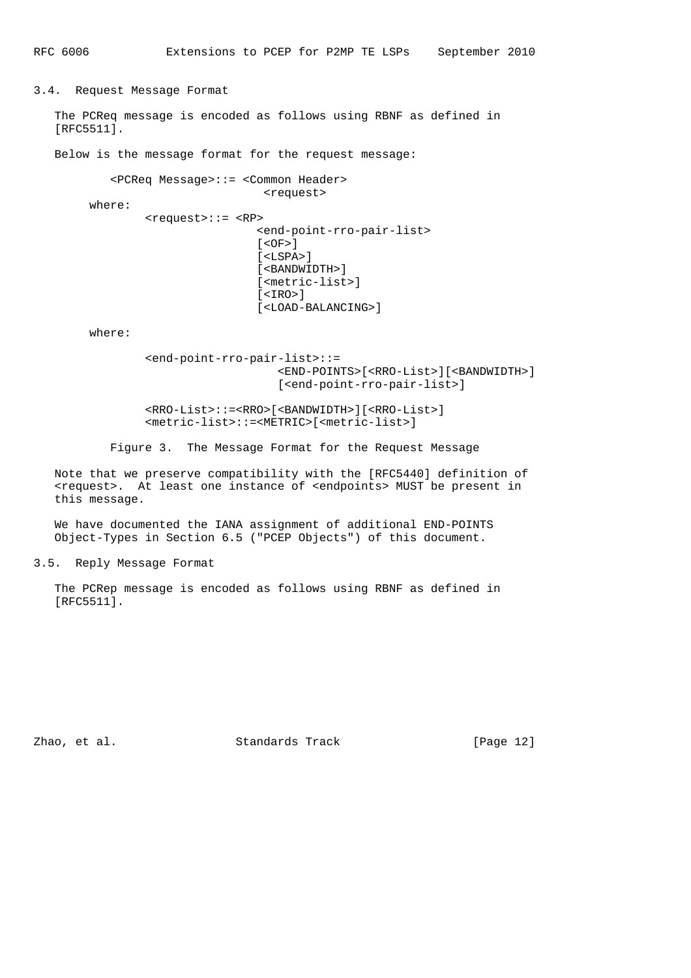3.4. Request Message Format

 The PCReq message is encoded as follows using RBNF as defined in [RFC5511].

Below is the message format for the request message:

```
 <PCReq Message>::= <Common Header>
                           <request>
 where:
         <request>::= <RP>
                           <end-point-rro-pair-list>
                          [ <OF>] [<LSPA>]
                           [<BANDWIDTH>]
                           [<metric-list>]
                           [<IRO>]
                           [<LOAD-BALANCING>]
```
where:

```
 <end-point-rro-pair-list>::=
                    <END-POINTS>[<RRO-List>][<BANDWIDTH>]
                    [<end-point-rro-pair-list>]
```
 <RRO-List>::=<RRO>[<BANDWIDTH>][<RRO-List>] <metric-list>::=<METRIC>[<metric-list>]

Figure 3. The Message Format for the Request Message

 Note that we preserve compatibility with the [RFC5440] definition of <request>. At least one instance of <endpoints> MUST be present in this message.

 We have documented the IANA assignment of additional END-POINTS Object-Types in Section 6.5 ("PCEP Objects") of this document.

3.5. Reply Message Format

 The PCRep message is encoded as follows using RBNF as defined in [RFC5511].

Zhao, et al. Standards Track [Page 12]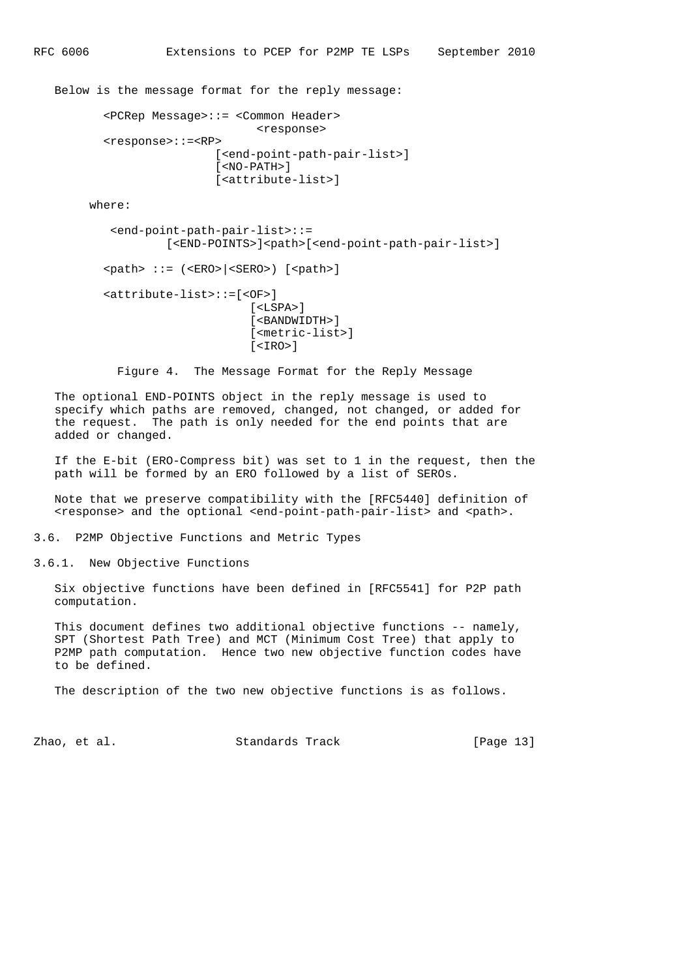Below is the message format for the reply message:

```
 <PCRep Message>::= <Common Header>
                        <response>
 <response>::=<RP>
                 [<end-point-path-pair-list>]
                  [<NO-PATH>]
                  [<attribute-list>]
```
where:

```
 <end-point-path-pair-list>::=
                            [<END-POINTS>]<path>[<end-point-path-pair-list>]
\langle \verb|path| ::= \langle \langle \rangle \langle \rangle \langle \rangle \langle \rangle \langle \rangle \langle \rangle \langle \rangle \langle \rangle \langle \rangle \langle \rangle \langle \rangle \langle \rangle \langle \rangle \langle \rangle \langle \rangle \langle \rangle \langle \rangle \langle \rangle \langle \rangle \langle \rangle <attribute-list>::=[<OF>]
                                                                    [<LSPA>]
```
 [<BANDWIDTH>] [<metric-list>]  $\times$ TRO $>1$ 

Figure 4. The Message Format for the Reply Message

 The optional END-POINTS object in the reply message is used to specify which paths are removed, changed, not changed, or added for the request. The path is only needed for the end points that are added or changed.

 If the E-bit (ERO-Compress bit) was set to 1 in the request, then the path will be formed by an ERO followed by a list of SEROs.

 Note that we preserve compatibility with the [RFC5440] definition of <response> and the optional <end-point-path-pair-list> and <path>.

3.6. P2MP Objective Functions and Metric Types

3.6.1. New Objective Functions

 Six objective functions have been defined in [RFC5541] for P2P path computation.

 This document defines two additional objective functions -- namely, SPT (Shortest Path Tree) and MCT (Minimum Cost Tree) that apply to P2MP path computation. Hence two new objective function codes have to be defined.

The description of the two new objective functions is as follows.

Zhao, et al. Standards Track [Page 13]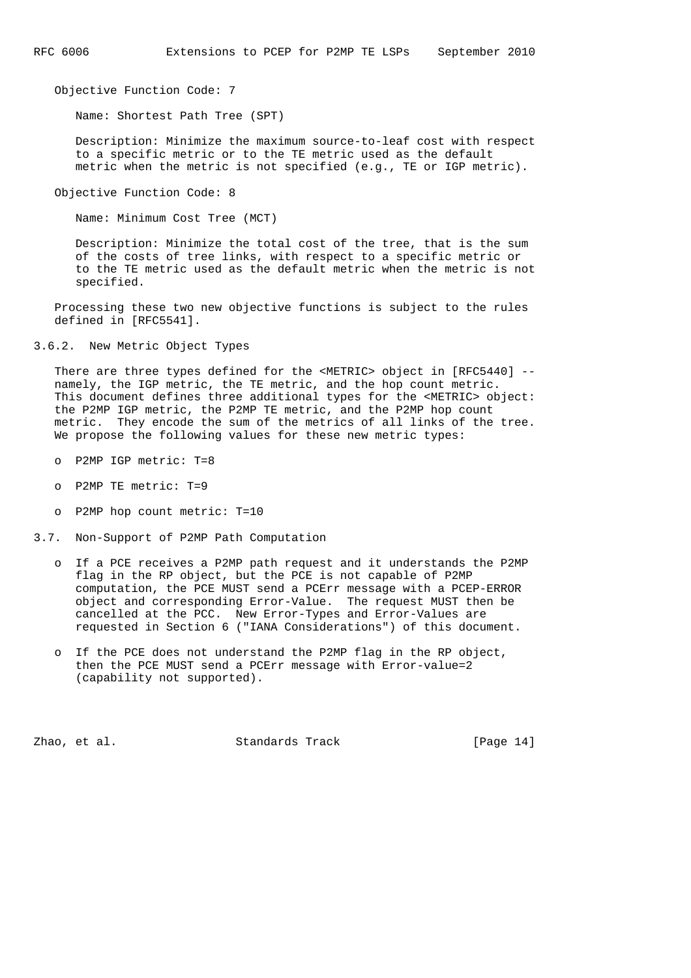Objective Function Code: 7

Name: Shortest Path Tree (SPT)

 Description: Minimize the maximum source-to-leaf cost with respect to a specific metric or to the TE metric used as the default metric when the metric is not specified (e.g., TE or IGP metric).

Objective Function Code: 8

Name: Minimum Cost Tree (MCT)

 Description: Minimize the total cost of the tree, that is the sum of the costs of tree links, with respect to a specific metric or to the TE metric used as the default metric when the metric is not specified.

 Processing these two new objective functions is subject to the rules defined in [RFC5541].

3.6.2. New Metric Object Types

 There are three types defined for the <METRIC> object in [RFC5440] - namely, the IGP metric, the TE metric, and the hop count metric. This document defines three additional types for the <METRIC> object: the P2MP IGP metric, the P2MP TE metric, and the P2MP hop count metric. They encode the sum of the metrics of all links of the tree. We propose the following values for these new metric types:

- o P2MP IGP metric: T=8
- o P2MP TE metric: T=9
- o P2MP hop count metric: T=10
- 3.7. Non-Support of P2MP Path Computation
	- o If a PCE receives a P2MP path request and it understands the P2MP flag in the RP object, but the PCE is not capable of P2MP computation, the PCE MUST send a PCErr message with a PCEP-ERROR object and corresponding Error-Value. The request MUST then be cancelled at the PCC. New Error-Types and Error-Values are requested in Section 6 ("IANA Considerations") of this document.
	- o If the PCE does not understand the P2MP flag in the RP object, then the PCE MUST send a PCErr message with Error-value=2 (capability not supported).

Zhao, et al. Standards Track [Page 14]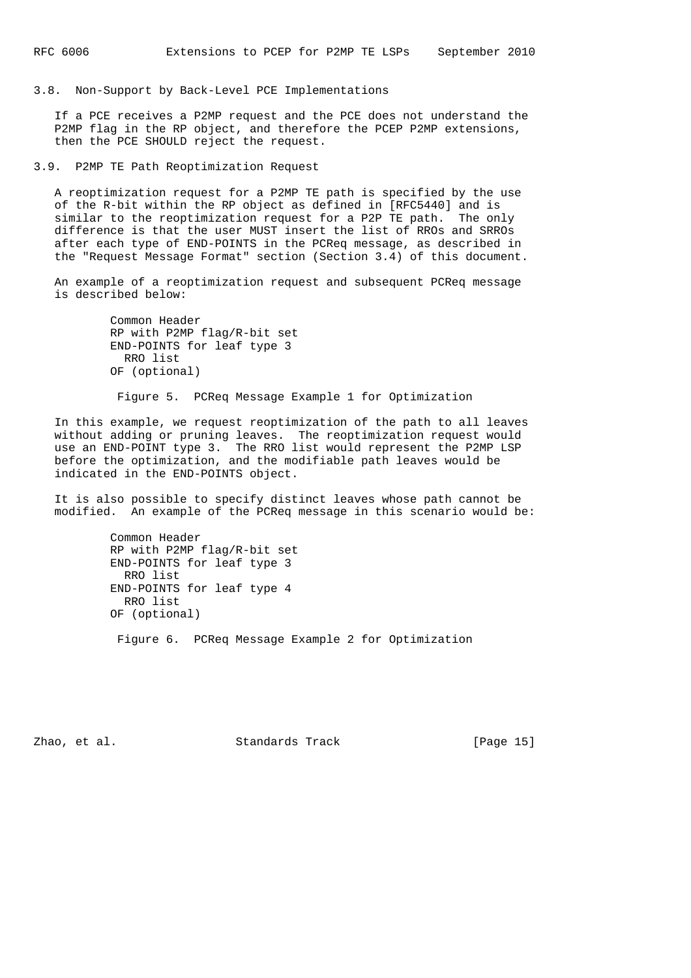3.8. Non-Support by Back-Level PCE Implementations

 If a PCE receives a P2MP request and the PCE does not understand the P2MP flag in the RP object, and therefore the PCEP P2MP extensions, then the PCE SHOULD reject the request.

3.9. P2MP TE Path Reoptimization Request

 A reoptimization request for a P2MP TE path is specified by the use of the R-bit within the RP object as defined in [RFC5440] and is similar to the reoptimization request for a P2P TE path. The only difference is that the user MUST insert the list of RROs and SRROs after each type of END-POINTS in the PCReq message, as described in the "Request Message Format" section (Section 3.4) of this document.

 An example of a reoptimization request and subsequent PCReq message is described below:

> Common Header RP with P2MP flag/R-bit set END-POINTS for leaf type 3 RRO list OF (optional)

Figure 5. PCReq Message Example 1 for Optimization

 In this example, we request reoptimization of the path to all leaves without adding or pruning leaves. The reoptimization request would use an END-POINT type 3. The RRO list would represent the P2MP LSP before the optimization, and the modifiable path leaves would be indicated in the END-POINTS object.

 It is also possible to specify distinct leaves whose path cannot be modified. An example of the PCReq message in this scenario would be:

> Common Header RP with P2MP flag/R-bit set END-POINTS for leaf type 3 RRO list END-POINTS for leaf type 4 RRO list OF (optional)

Figure 6. PCReq Message Example 2 for Optimization

Zhao, et al. Standards Track [Page 15]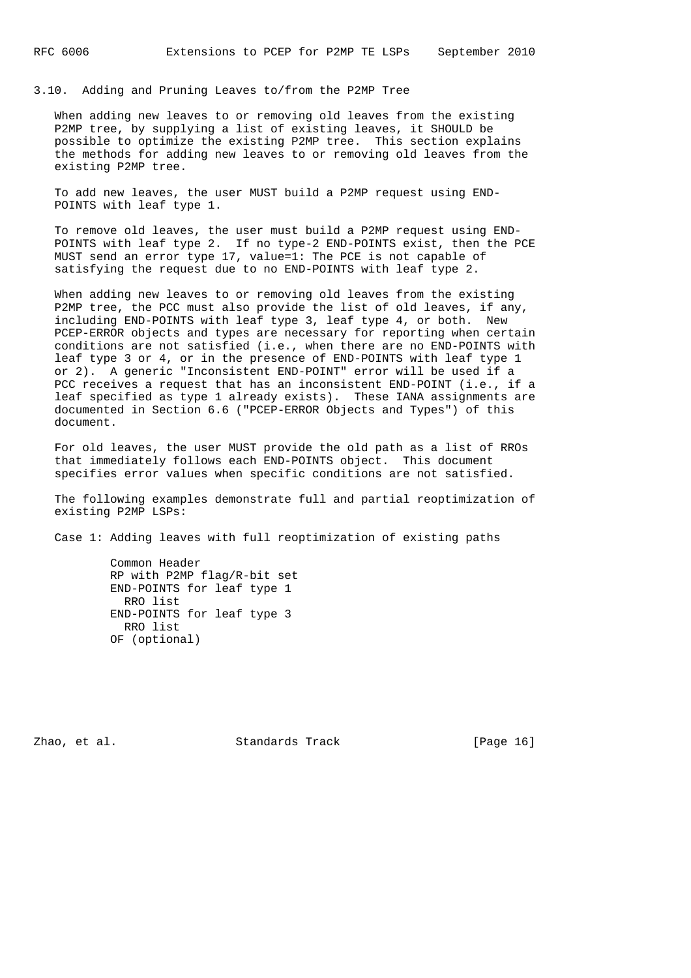3.10. Adding and Pruning Leaves to/from the P2MP Tree

 When adding new leaves to or removing old leaves from the existing P2MP tree, by supplying a list of existing leaves, it SHOULD be possible to optimize the existing P2MP tree. This section explains the methods for adding new leaves to or removing old leaves from the existing P2MP tree.

 To add new leaves, the user MUST build a P2MP request using END- POINTS with leaf type 1.

 To remove old leaves, the user must build a P2MP request using END- POINTS with leaf type 2. If no type-2 END-POINTS exist, then the PCE MUST send an error type 17, value=1: The PCE is not capable of satisfying the request due to no END-POINTS with leaf type 2.

 When adding new leaves to or removing old leaves from the existing P2MP tree, the PCC must also provide the list of old leaves, if any, including END-POINTS with leaf type 3, leaf type 4, or both. New PCEP-ERROR objects and types are necessary for reporting when certain conditions are not satisfied (i.e., when there are no END-POINTS with leaf type 3 or 4, or in the presence of END-POINTS with leaf type 1 or 2). A generic "Inconsistent END-POINT" error will be used if a PCC receives a request that has an inconsistent END-POINT (i.e., if a leaf specified as type 1 already exists). These IANA assignments are documented in Section 6.6 ("PCEP-ERROR Objects and Types") of this document.

 For old leaves, the user MUST provide the old path as a list of RROs that immediately follows each END-POINTS object. This document specifies error values when specific conditions are not satisfied.

 The following examples demonstrate full and partial reoptimization of existing P2MP LSPs:

Case 1: Adding leaves with full reoptimization of existing paths

 Common Header RP with P2MP flag/R-bit set END-POINTS for leaf type 1 RRO list END-POINTS for leaf type 3 RRO list OF (optional)

Zhao, et al. Standards Track [Page 16]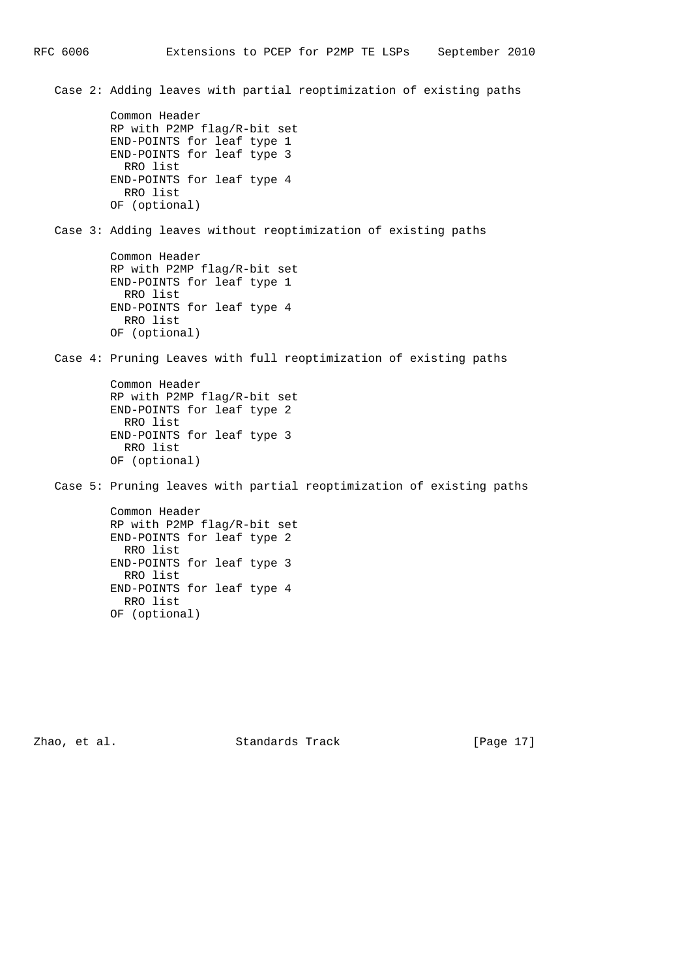Case 2: Adding leaves with partial reoptimization of existing paths Common Header RP with P2MP flag/R-bit set END-POINTS for leaf type 1 END-POINTS for leaf type 3 RRO list END-POINTS for leaf type 4 RRO list OF (optional) Case 3: Adding leaves without reoptimization of existing paths Common Header RP with P2MP flag/R-bit set END-POINTS for leaf type 1 RRO list END-POINTS for leaf type 4 RRO list OF (optional) Case 4: Pruning Leaves with full reoptimization of existing paths Common Header RP with P2MP flag/R-bit set END-POINTS for leaf type 2 RRO list END-POINTS for leaf type 3 RRO list OF (optional) Case 5: Pruning leaves with partial reoptimization of existing paths Common Header RP with P2MP flag/R-bit set END-POINTS for leaf type 2 RRO list END-POINTS for leaf type 3 RRO list END-POINTS for leaf type 4 RRO list OF (optional)

Zhao, et al. Standards Track [Page 17]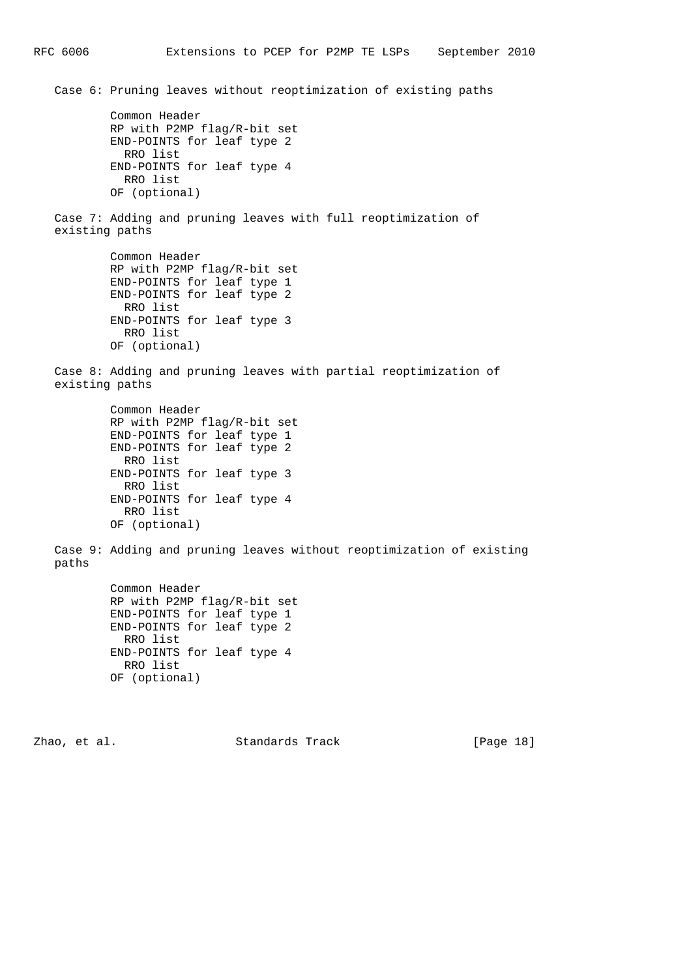Case 6: Pruning leaves without reoptimization of existing paths Common Header RP with P2MP flag/R-bit set END-POINTS for leaf type 2 RRO list END-POINTS for leaf type 4 RRO list OF (optional) Case 7: Adding and pruning leaves with full reoptimization of existing paths Common Header RP with P2MP flag/R-bit set END-POINTS for leaf type 1 END-POINTS for leaf type 2 RRO list END-POINTS for leaf type 3 RRO list OF (optional) Case 8: Adding and pruning leaves with partial reoptimization of existing paths Common Header RP with P2MP flag/R-bit set END-POINTS for leaf type 1 END-POINTS for leaf type 2 RRO list END-POINTS for leaf type 3 RRO list END-POINTS for leaf type 4 RRO list OF (optional) Case 9: Adding and pruning leaves without reoptimization of existing paths Common Header RP with P2MP flag/R-bit set END-POINTS for leaf type 1 END-POINTS for leaf type 2 RRO list END-POINTS for leaf type 4 RRO list OF (optional) Zhao, et al. Standards Track [Page 18]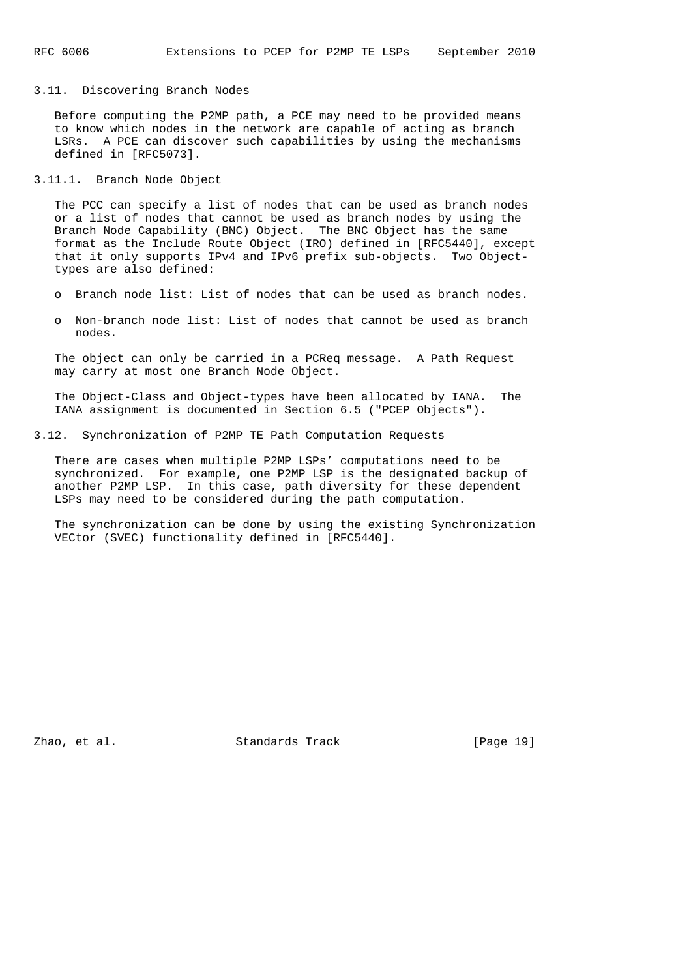# 3.11. Discovering Branch Nodes

 Before computing the P2MP path, a PCE may need to be provided means to know which nodes in the network are capable of acting as branch LSRs. A PCE can discover such capabilities by using the mechanisms defined in [RFC5073].

# 3.11.1. Branch Node Object

 The PCC can specify a list of nodes that can be used as branch nodes or a list of nodes that cannot be used as branch nodes by using the Branch Node Capability (BNC) Object. The BNC Object has the same format as the Include Route Object (IRO) defined in [RFC5440], except that it only supports IPv4 and IPv6 prefix sub-objects. Two Object types are also defined:

- o Branch node list: List of nodes that can be used as branch nodes.
- o Non-branch node list: List of nodes that cannot be used as branch nodes.

 The object can only be carried in a PCReq message. A Path Request may carry at most one Branch Node Object.

 The Object-Class and Object-types have been allocated by IANA. The IANA assignment is documented in Section 6.5 ("PCEP Objects").

3.12. Synchronization of P2MP TE Path Computation Requests

 There are cases when multiple P2MP LSPs' computations need to be synchronized. For example, one P2MP LSP is the designated backup of another P2MP LSP. In this case, path diversity for these dependent LSPs may need to be considered during the path computation.

 The synchronization can be done by using the existing Synchronization VECtor (SVEC) functionality defined in [RFC5440].

Zhao, et al. Standards Track [Page 19]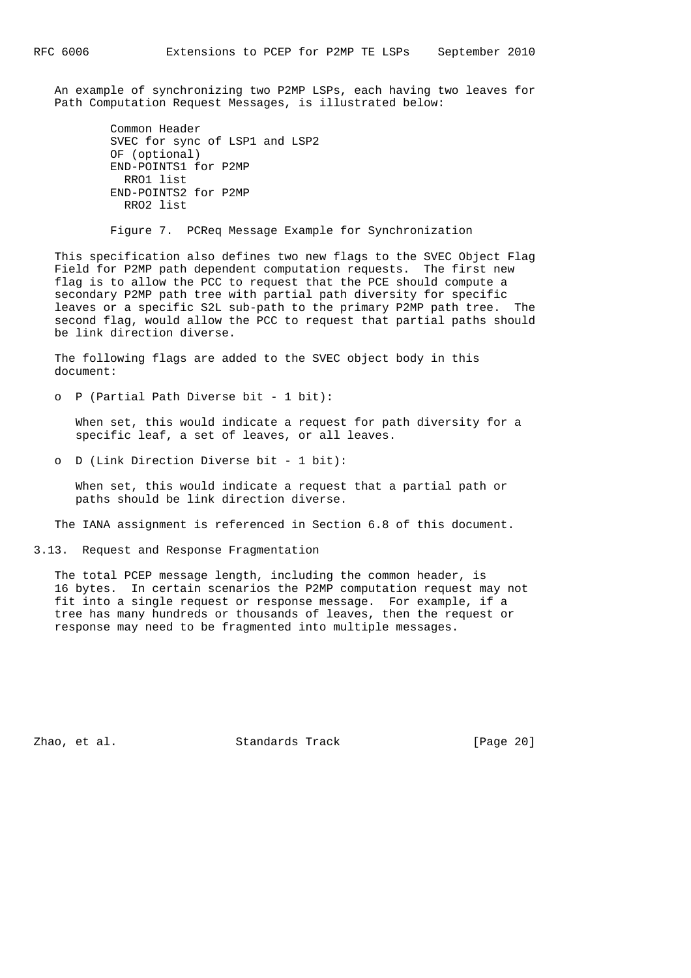An example of synchronizing two P2MP LSPs, each having two leaves for Path Computation Request Messages, is illustrated below:

```
 Common Header
 SVEC for sync of LSP1 and LSP2
 OF (optional)
 END-POINTS1 for P2MP
  RRO1 list
 END-POINTS2 for P2MP
  RRO2 list
```
Figure 7. PCReq Message Example for Synchronization

 This specification also defines two new flags to the SVEC Object Flag Field for P2MP path dependent computation requests. The first new flag is to allow the PCC to request that the PCE should compute a secondary P2MP path tree with partial path diversity for specific leaves or a specific S2L sub-path to the primary P2MP path tree. The second flag, would allow the PCC to request that partial paths should be link direction diverse.

 The following flags are added to the SVEC object body in this document:

o P (Partial Path Diverse bit - 1 bit):

 When set, this would indicate a request for path diversity for a specific leaf, a set of leaves, or all leaves.

o D (Link Direction Diverse bit - 1 bit):

 When set, this would indicate a request that a partial path or paths should be link direction diverse.

The IANA assignment is referenced in Section 6.8 of this document.

3.13. Request and Response Fragmentation

 The total PCEP message length, including the common header, is 16 bytes. In certain scenarios the P2MP computation request may not fit into a single request or response message. For example, if a tree has many hundreds or thousands of leaves, then the request or response may need to be fragmented into multiple messages.

Zhao, et al. Standards Track [Page 20]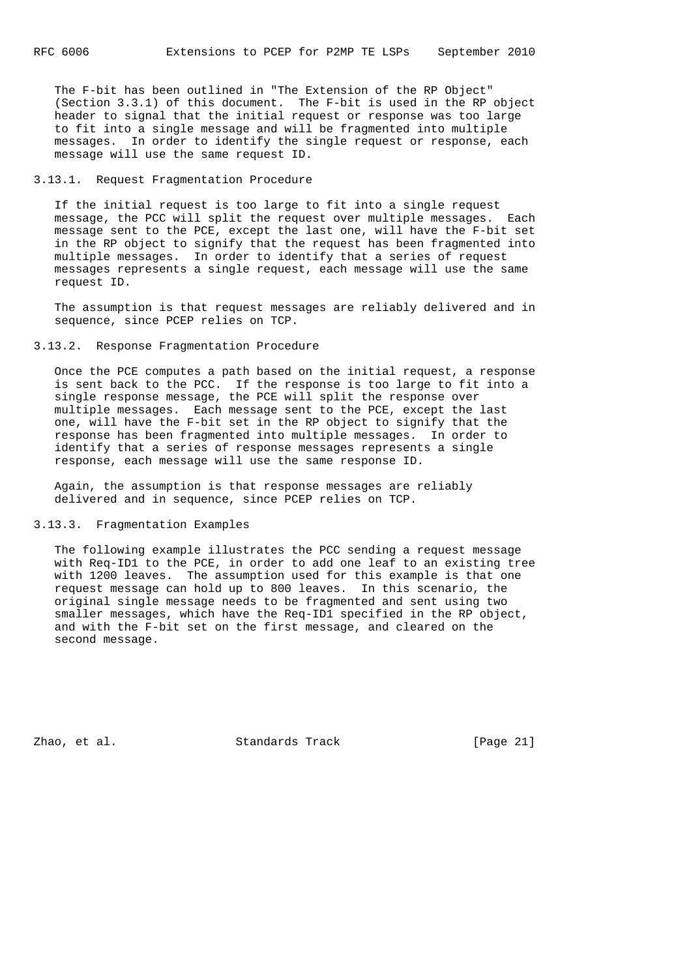The F-bit has been outlined in "The Extension of the RP Object" (Section 3.3.1) of this document. The F-bit is used in the RP object header to signal that the initial request or response was too large to fit into a single message and will be fragmented into multiple messages. In order to identify the single request or response, each message will use the same request ID.

#### 3.13.1. Request Fragmentation Procedure

 If the initial request is too large to fit into a single request message, the PCC will split the request over multiple messages. Each message sent to the PCE, except the last one, will have the F-bit set in the RP object to signify that the request has been fragmented into multiple messages. In order to identify that a series of request messages represents a single request, each message will use the same request ID.

 The assumption is that request messages are reliably delivered and in sequence, since PCEP relies on TCP.

## 3.13.2. Response Fragmentation Procedure

 Once the PCE computes a path based on the initial request, a response is sent back to the PCC. If the response is too large to fit into a single response message, the PCE will split the response over multiple messages. Each message sent to the PCE, except the last one, will have the F-bit set in the RP object to signify that the response has been fragmented into multiple messages. In order to identify that a series of response messages represents a single response, each message will use the same response ID.

 Again, the assumption is that response messages are reliably delivered and in sequence, since PCEP relies on TCP.

# 3.13.3. Fragmentation Examples

 The following example illustrates the PCC sending a request message with Req-ID1 to the PCE, in order to add one leaf to an existing tree with 1200 leaves. The assumption used for this example is that one request message can hold up to 800 leaves. In this scenario, the original single message needs to be fragmented and sent using two smaller messages, which have the Req-ID1 specified in the RP object, and with the F-bit set on the first message, and cleared on the second message.

Zhao, et al. Standards Track [Page 21]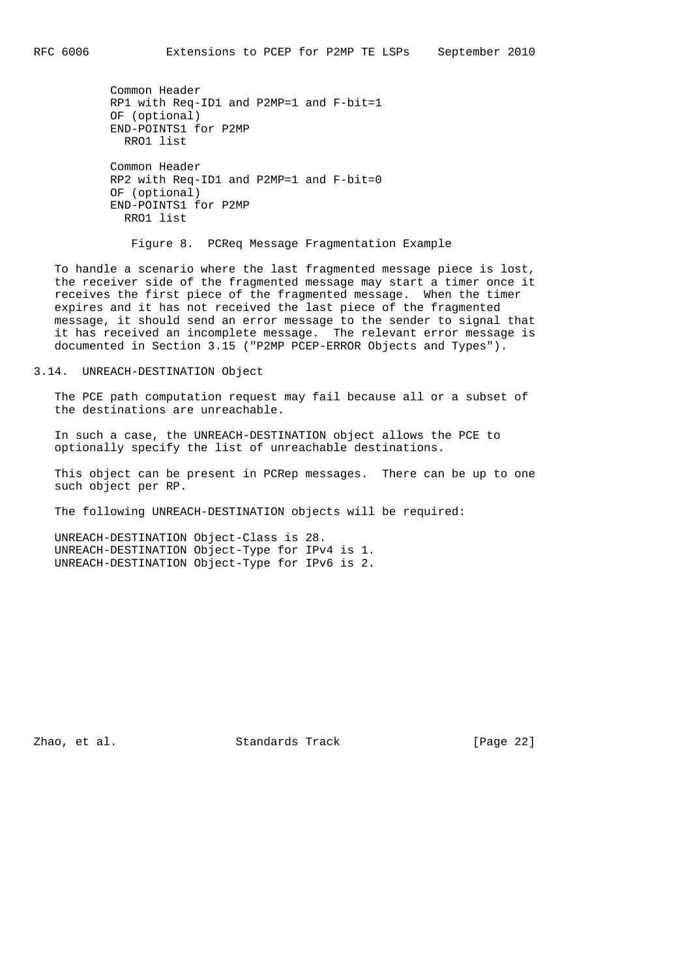Common Header RP1 with Req-ID1 and P2MP=1 and F-bit=1 OF (optional) END-POINTS1 for P2MP RRO1 list Common Header RP2 with Req-ID1 and P2MP=1 and F-bit=0 OF (optional) END-POINTS1 for P2MP RRO1 list

Figure 8. PCReq Message Fragmentation Example

 To handle a scenario where the last fragmented message piece is lost, the receiver side of the fragmented message may start a timer once it receives the first piece of the fragmented message. When the timer expires and it has not received the last piece of the fragmented message, it should send an error message to the sender to signal that it has received an incomplete message. The relevant error message is documented in Section 3.15 ("P2MP PCEP-ERROR Objects and Types").

### 3.14. UNREACH-DESTINATION Object

 The PCE path computation request may fail because all or a subset of the destinations are unreachable.

 In such a case, the UNREACH-DESTINATION object allows the PCE to optionally specify the list of unreachable destinations.

 This object can be present in PCRep messages. There can be up to one such object per RP.

The following UNREACH-DESTINATION objects will be required:

 UNREACH-DESTINATION Object-Class is 28. UNREACH-DESTINATION Object-Type for IPv4 is 1. UNREACH-DESTINATION Object-Type for IPv6 is 2.

Zhao, et al. Standards Track [Page 22]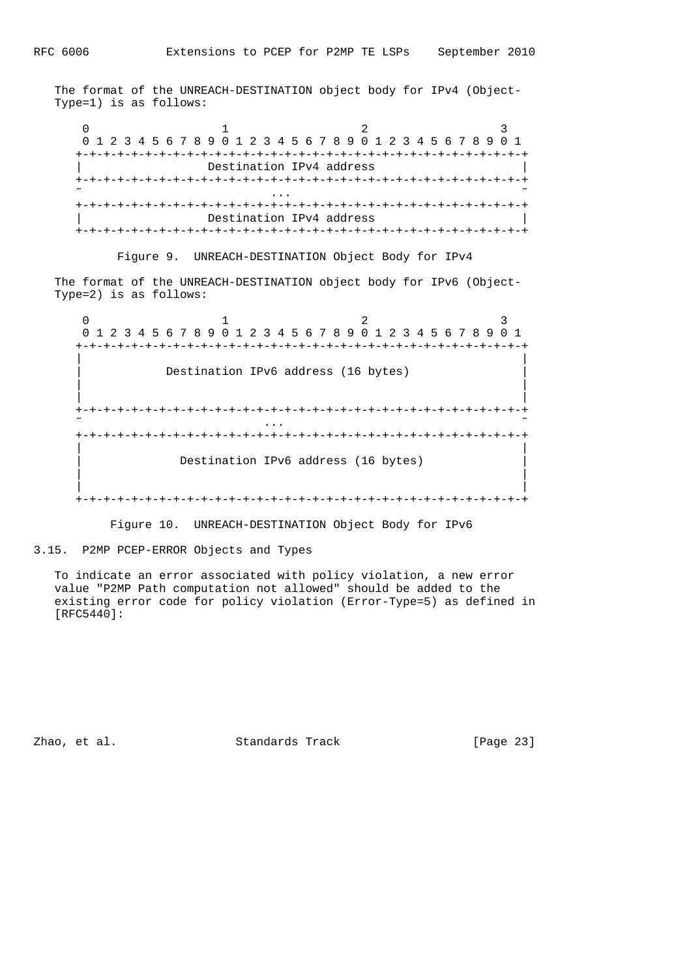The format of the UNREACH-DESTINATION object body for IPv4 (Object- Type=1) is as follows:

 $0$  1 2 3 0 1 2 3 4 5 6 7 8 9 0 1 2 3 4 5 6 7 8 9 0 1 2 3 4 5 6 7 8 9 0 1 +-+-+-+-+-+-+-+-+-+-+-+-+-+-+-+-+-+-+-+-+-+-+-+-+-+-+-+-+-+-+-+-+ Destination IPv4 address +-+-+-+-+-+-+-+-+-+-+-+-+-+-+-+-+-+-+-+-+-+-+-+-+-+-+-+-+-+-+-+-+ ˜ ... ˜ +-+-+-+-+-+-+-+-+-+-+-+-+-+-+-+-+-+-+-+-+-+-+-+-+-+-+-+-+-+-+-+-+ Destination IPv4 address +-+-+-+-+-+-+-+-+-+-+-+-+-+-+-+-+-+-+-+-+-+-+-+-+-+-+-+-+-+-+-+-+

Figure 9. UNREACH-DESTINATION Object Body for IPv4

 The format of the UNREACH-DESTINATION object body for IPv6 (Object- Type=2) is as follows:

 $0$  1 2 3 0 1 2 3 4 5 6 7 8 9 0 1 2 3 4 5 6 7 8 9 0 1 2 3 4 5 6 7 8 9 0 1 +-+-+-+-+-+-+-+-+-+-+-+-+-+-+-+-+-+-+-+-+-+-+-+-+-+-+-+-+-+-+-+-+ | | Destination IPv6 address (16 bytes) | | | | +-+-+-+-+-+-+-+-+-+-+-+-+-+-+-+-+-+-+-+-+-+-+-+-+-+-+-+-+-+-+-+-+ ˜ ... ˜ +-+-+-+-+-+-+-+-+-+-+-+-+-+-+-+-+-+-+-+-+-+-+-+-+-+-+-+-+-+-+-+-+ | | Destination IPv6 address (16 bytes) | | | | +-+-+-+-+-+-+-+-+-+-+-+-+-+-+-+-+-+-+-+-+-+-+-+-+-+-+-+-+-+-+-+-+

Figure 10. UNREACH-DESTINATION Object Body for IPv6

3.15. P2MP PCEP-ERROR Objects and Types

 To indicate an error associated with policy violation, a new error value "P2MP Path computation not allowed" should be added to the existing error code for policy violation (Error-Type=5) as defined in [RFC5440]:

Zhao, et al. Standards Track [Page 23]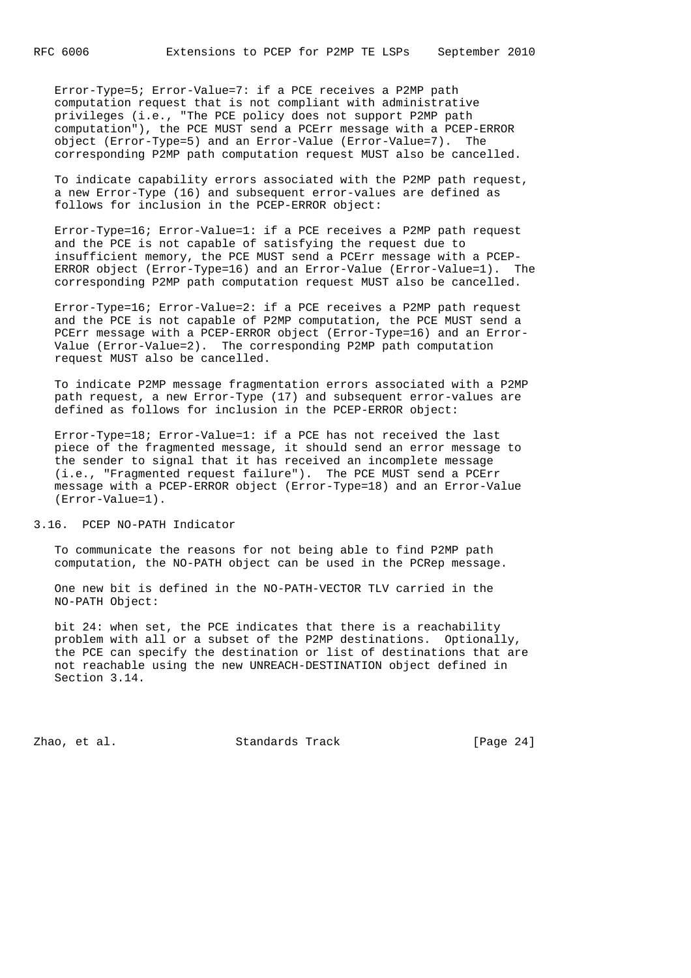Error-Type=5; Error-Value=7: if a PCE receives a P2MP path computation request that is not compliant with administrative privileges (i.e., "The PCE policy does not support P2MP path computation"), the PCE MUST send a PCErr message with a PCEP-ERROR object (Error-Type=5) and an Error-Value (Error-Value=7). The corresponding P2MP path computation request MUST also be cancelled.

 To indicate capability errors associated with the P2MP path request, a new Error-Type (16) and subsequent error-values are defined as follows for inclusion in the PCEP-ERROR object:

 Error-Type=16; Error-Value=1: if a PCE receives a P2MP path request and the PCE is not capable of satisfying the request due to insufficient memory, the PCE MUST send a PCErr message with a PCEP- ERROR object (Error-Type=16) and an Error-Value (Error-Value=1). The corresponding P2MP path computation request MUST also be cancelled.

 Error-Type=16; Error-Value=2: if a PCE receives a P2MP path request and the PCE is not capable of P2MP computation, the PCE MUST send a PCErr message with a PCEP-ERROR object (Error-Type=16) and an Error- Value (Error-Value=2). The corresponding P2MP path computation request MUST also be cancelled.

 To indicate P2MP message fragmentation errors associated with a P2MP path request, a new Error-Type (17) and subsequent error-values are defined as follows for inclusion in the PCEP-ERROR object:

 Error-Type=18; Error-Value=1: if a PCE has not received the last piece of the fragmented message, it should send an error message to the sender to signal that it has received an incomplete message (i.e., "Fragmented request failure"). The PCE MUST send a PCErr message with a PCEP-ERROR object (Error-Type=18) and an Error-Value (Error-Value=1).

3.16. PCEP NO-PATH Indicator

 To communicate the reasons for not being able to find P2MP path computation, the NO-PATH object can be used in the PCRep message.

 One new bit is defined in the NO-PATH-VECTOR TLV carried in the NO-PATH Object:

 bit 24: when set, the PCE indicates that there is a reachability problem with all or a subset of the P2MP destinations. Optionally, the PCE can specify the destination or list of destinations that are not reachable using the new UNREACH-DESTINATION object defined in Section 3.14.

Zhao, et al. Standards Track [Page 24]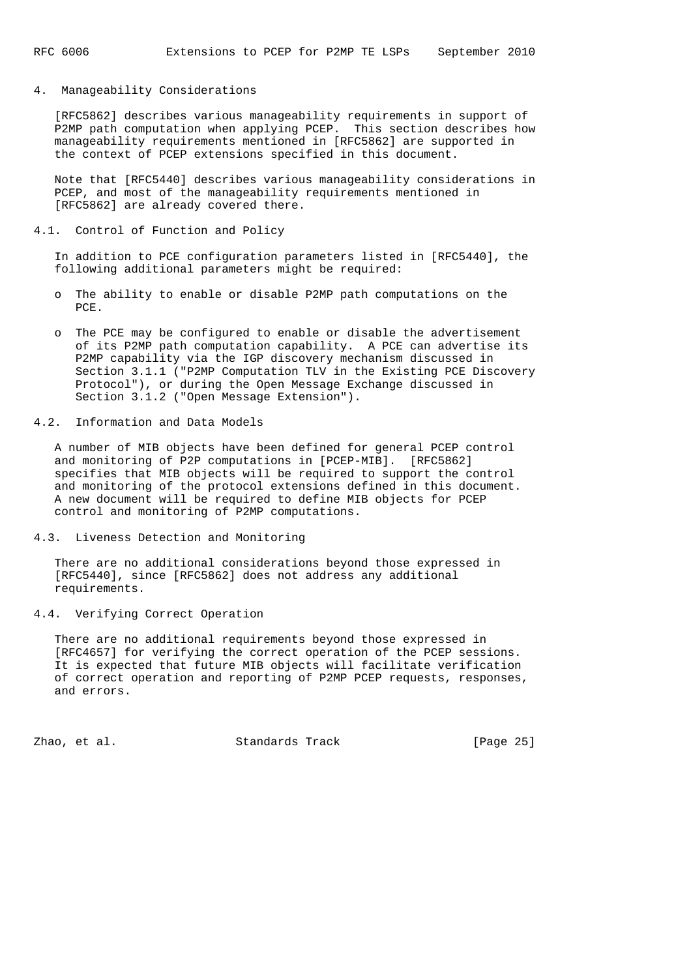# 4. Manageability Considerations

 [RFC5862] describes various manageability requirements in support of P2MP path computation when applying PCEP. This section describes how manageability requirements mentioned in [RFC5862] are supported in the context of PCEP extensions specified in this document.

 Note that [RFC5440] describes various manageability considerations in PCEP, and most of the manageability requirements mentioned in [RFC5862] are already covered there.

4.1. Control of Function and Policy

 In addition to PCE configuration parameters listed in [RFC5440], the following additional parameters might be required:

- o The ability to enable or disable P2MP path computations on the PCE.
- o The PCE may be configured to enable or disable the advertisement of its P2MP path computation capability. A PCE can advertise its P2MP capability via the IGP discovery mechanism discussed in Section 3.1.1 ("P2MP Computation TLV in the Existing PCE Discovery Protocol"), or during the Open Message Exchange discussed in Section 3.1.2 ("Open Message Extension").
- 4.2. Information and Data Models

 A number of MIB objects have been defined for general PCEP control and monitoring of P2P computations in [PCEP-MIB]. [RFC5862] specifies that MIB objects will be required to support the control and monitoring of the protocol extensions defined in this document. A new document will be required to define MIB objects for PCEP control and monitoring of P2MP computations.

4.3. Liveness Detection and Monitoring

 There are no additional considerations beyond those expressed in [RFC5440], since [RFC5862] does not address any additional requirements.

4.4. Verifying Correct Operation

 There are no additional requirements beyond those expressed in [RFC4657] for verifying the correct operation of the PCEP sessions. It is expected that future MIB objects will facilitate verification of correct operation and reporting of P2MP PCEP requests, responses, and errors.

Zhao, et al. Standards Track [Page 25]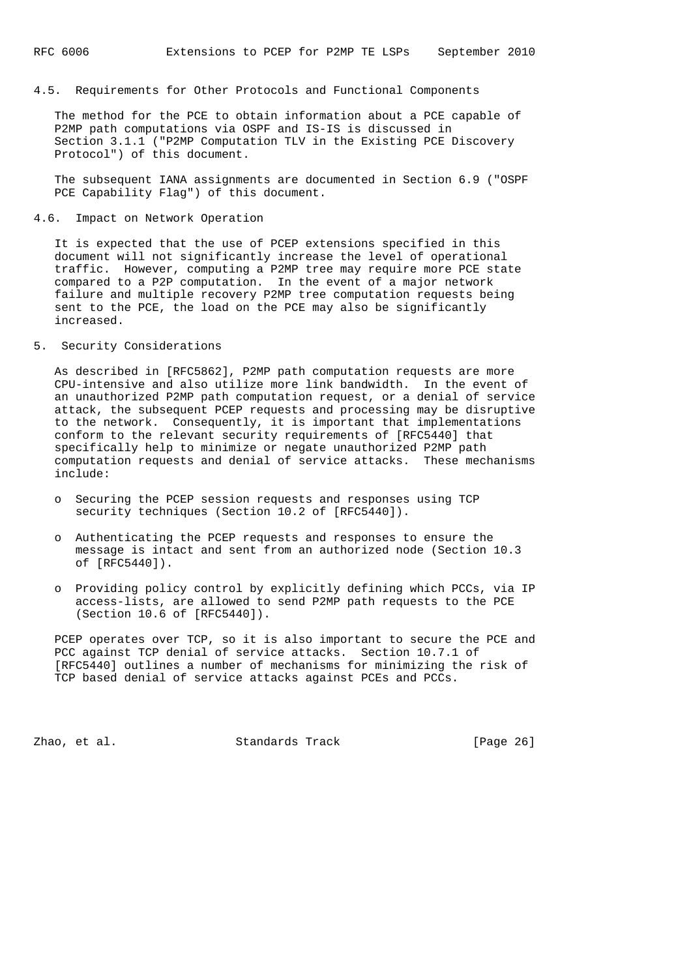# 4.5. Requirements for Other Protocols and Functional Components

 The method for the PCE to obtain information about a PCE capable of P2MP path computations via OSPF and IS-IS is discussed in Section 3.1.1 ("P2MP Computation TLV in the Existing PCE Discovery Protocol") of this document.

 The subsequent IANA assignments are documented in Section 6.9 ("OSPF PCE Capability Flag") of this document.

## 4.6. Impact on Network Operation

 It is expected that the use of PCEP extensions specified in this document will not significantly increase the level of operational traffic. However, computing a P2MP tree may require more PCE state compared to a P2P computation. In the event of a major network failure and multiple recovery P2MP tree computation requests being sent to the PCE, the load on the PCE may also be significantly increased.

## 5. Security Considerations

 As described in [RFC5862], P2MP path computation requests are more CPU-intensive and also utilize more link bandwidth. In the event of an unauthorized P2MP path computation request, or a denial of service attack, the subsequent PCEP requests and processing may be disruptive to the network. Consequently, it is important that implementations conform to the relevant security requirements of [RFC5440] that specifically help to minimize or negate unauthorized P2MP path computation requests and denial of service attacks. These mechanisms include:

- o Securing the PCEP session requests and responses using TCP security techniques (Section 10.2 of [RFC5440]).
- o Authenticating the PCEP requests and responses to ensure the message is intact and sent from an authorized node (Section 10.3 of [RFC5440]).
- o Providing policy control by explicitly defining which PCCs, via IP access-lists, are allowed to send P2MP path requests to the PCE (Section 10.6 of [RFC5440]).

PCEP operates over TCP, so it is also important to secure the PCE and PCC against TCP denial of service attacks. Section 10.7.1 of [RFC5440] outlines a number of mechanisms for minimizing the risk of TCP based denial of service attacks against PCEs and PCCs.

Zhao, et al. Standards Track [Page 26]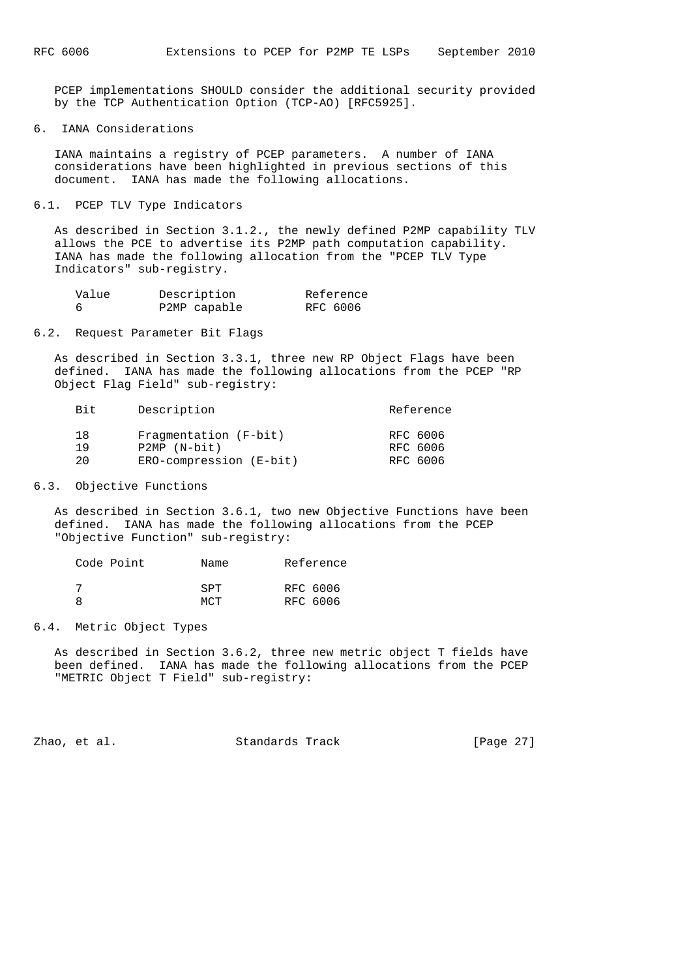PCEP implementations SHOULD consider the additional security provided by the TCP Authentication Option (TCP-AO) [RFC5925].

#### 6. IANA Considerations

 IANA maintains a registry of PCEP parameters. A number of IANA considerations have been highlighted in previous sections of this document. IANA has made the following allocations.

#### 6.1. PCEP TLV Type Indicators

 As described in Section 3.1.2., the newly defined P2MP capability TLV allows the PCE to advertise its P2MP path computation capability. IANA has made the following allocation from the "PCEP TLV Type Indicators" sub-registry.

| Value | Description  | Reference |
|-------|--------------|-----------|
|       | P2MP capable | RFC 6006  |

# 6.2. Request Parameter Bit Flags

 As described in Section 3.3.1, three new RP Object Flags have been defined. IANA has made the following allocations from the PCEP "RP Object Flag Field" sub-registry:

| Bit. | Description             | Reference |
|------|-------------------------|-----------|
| 18   | Fragmentation (F-bit)   | RFC 6006  |
| 1 9  | $P2MP (N-bit)$          | RFC 6006  |
| 2.0  | ERO-compression (E-bit) | RFC 6006  |

#### 6.3. Objective Functions

 As described in Section 3.6.1, two new Objective Functions have been defined. IANA has made the following allocations from the PCEP "Objective Function" sub-registry:

| Code Point | Name       | Reference |
|------------|------------|-----------|
|            | <b>SPT</b> | RFC 6006  |
|            | MCT        | RFC 6006  |

# 6.4. Metric Object Types

 As described in Section 3.6.2, three new metric object T fields have been defined. IANA has made the following allocations from the PCEP "METRIC Object T Field" sub-registry:

Zhao, et al. Standards Track [Page 27]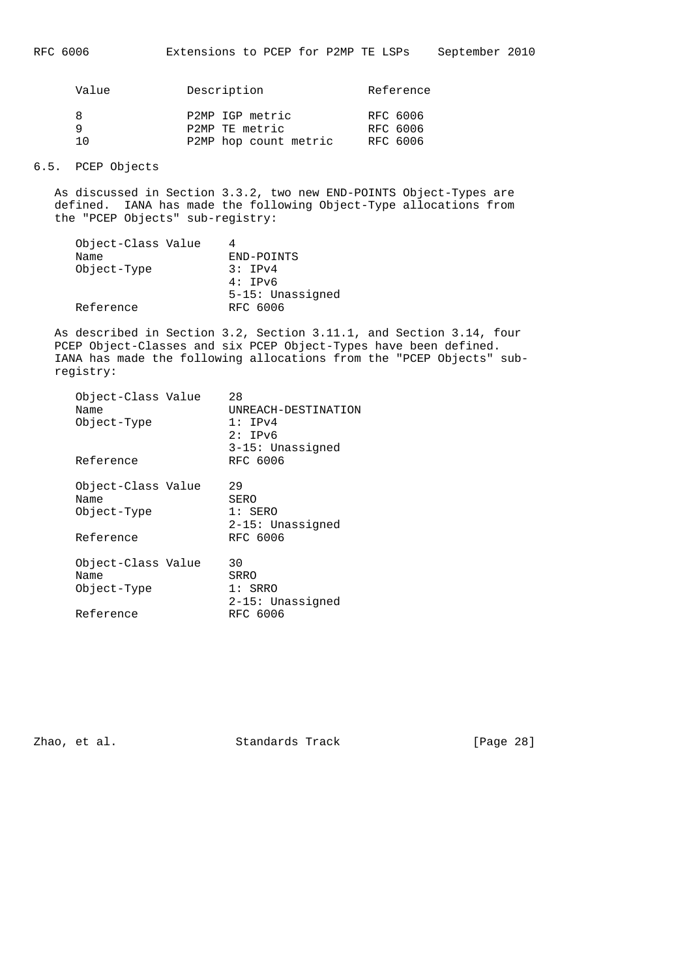| Value | Description                       | Reference                        |
|-------|-----------------------------------|----------------------------------|
| 1 ∩   | P2MP IGP metric<br>P2MP TE metric | RFC 6006<br>RFC 6006<br>RFC 6006 |
|       | P2MP hop count metric             |                                  |
|       |                                   |                                  |

# 6.5. PCEP Objects

 As discussed in Section 3.3.2, two new END-POINTS Object-Types are defined. IANA has made the following Object-Type allocations from the "PCEP Objects" sub-registry:

| Object-Class Value |                  |
|--------------------|------------------|
| Name               | END-POINTS       |
| Object-Type        | 3:IPv4           |
|                    | 4:TPv6           |
|                    | 5-15: Unassigned |
| Reference          | RFC 6006         |

 As described in Section 3.2, Section 3.11.1, and Section 3.14, four PCEP Object-Classes and six PCEP Object-Types have been defined. IANA has made the following allocations from the "PCEP Objects" sub registry:

| Object-Class Value | 28<br>UNREACH-DESTINATION<br>1:IPv4<br>2:IPv6<br>$3-15:$ Unassigned |
|--------------------|---------------------------------------------------------------------|
|                    | RFC 6006                                                            |
| Object-Class Value | 29<br>SERO<br>$1:$ SERO<br>2-15: Unassigned<br>RFC 6006             |
| Object-Class Value | 30<br>SRRO<br>$1:$ SRRO<br>2-15: Unassigned<br>RFC 6006             |
|                    |                                                                     |

zhao, et al. Standards Track [Page 28]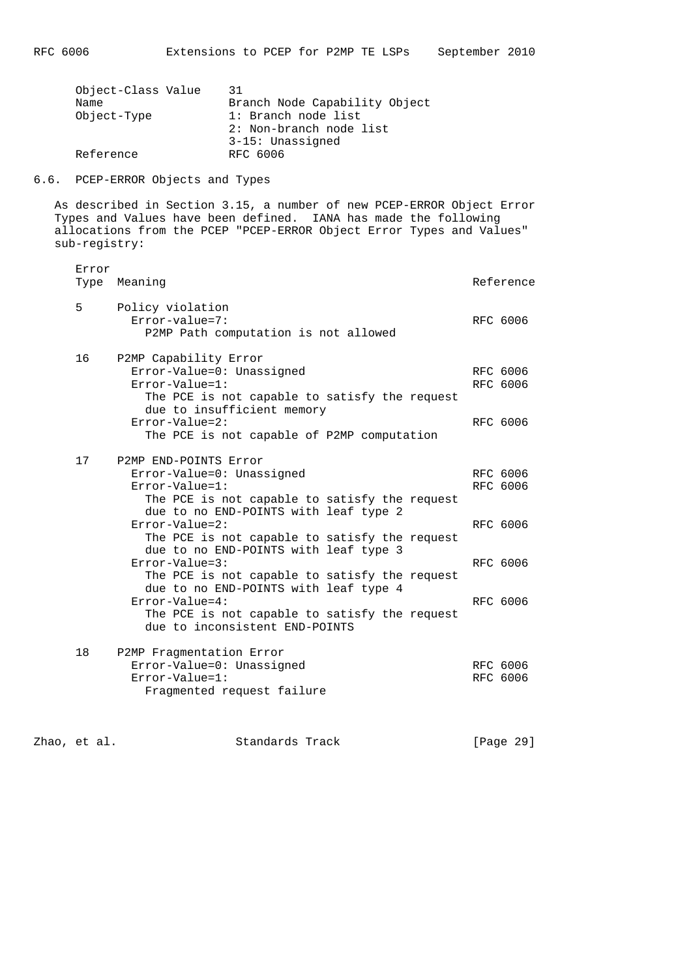| PC 6006 | Extensions to |  |
|---------|---------------|--|
|         |               |  |

| 31                            |
|-------------------------------|
| Branch Node Capability Object |
| 1: Branch node list           |
| 2: Non-branch node list       |
| 3-15: Unassigned              |
| RFC 6006                      |
|                               |

6.6. PCEP-ERROR Objects and Types

 As described in Section 3.15, a number of new PCEP-ERROR Object Error Types and Values have been defined. IANA has made the following allocations from the PCEP "PCEP-ERROR Object Error Types and Values" sub-registry:

| Error<br>Type | Meaning                                                                                                                                                                                                                                                                                        | Reference                        |
|---------------|------------------------------------------------------------------------------------------------------------------------------------------------------------------------------------------------------------------------------------------------------------------------------------------------|----------------------------------|
| 5             | Policy violation<br>$Error-value = 7:$<br>P2MP Path computation is not allowed                                                                                                                                                                                                                 | RFC 6006                         |
| 16            | P2MP Capability Error<br>Error-Value=0: Unassigned<br>$Error-Value=1$ :<br>The PCE is not capable to satisfy the request<br>due to insufficient memory<br>$Error-Value=2$ :<br>The PCE is not capable of P2MP computation                                                                      | RFC 6006<br>RFC 6006<br>RFC 6006 |
| 17            | P2MP END-POINTS Error<br>Error-Value=0: Unassigned<br>$Error-Value=1$ :<br>The PCE is not capable to satisfy the request<br>due to no END-POINTS with leaf type 2                                                                                                                              | RFC 6006<br>RFC 6006             |
|               | $Error-Value=2$ :<br>The PCE is not capable to satisfy the request<br>due to no END-POINTS with leaf type 3<br>$Error-Value=3:$<br>The PCE is not capable to satisfy the request<br>due to no END-POINTS with leaf type 4<br>$Error-Value=4:$<br>The PCE is not capable to satisfy the request | RFC 6006<br>RFC 6006<br>RFC 6006 |
| 18            | due to inconsistent END-POINTS<br>P2MP Fragmentation Error<br>Error-Value=0: Unassigned<br>$Error-Value=1$ :<br>Fragmented request failure                                                                                                                                                     | RFC 6006<br>RFC 6006             |

zhao, et al. Standards Track [Page 29]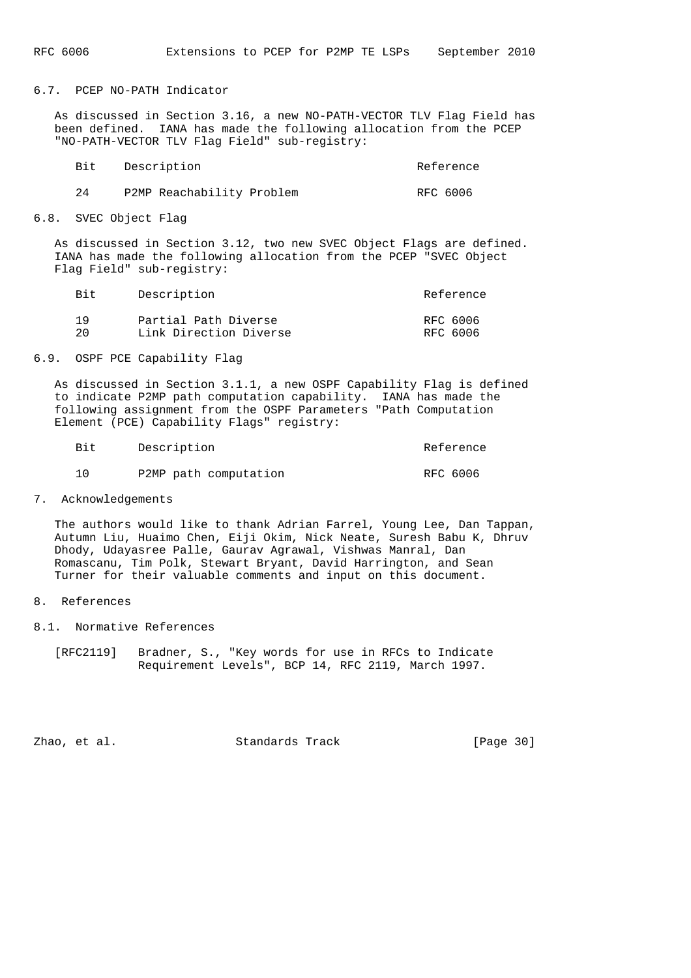6.7. PCEP NO-PATH Indicator

 As discussed in Section 3.16, a new NO-PATH-VECTOR TLV Flag Field has been defined. IANA has made the following allocation from the PCEP "NO-PATH-VECTOR TLV Flag Field" sub-registry:

|    | Bit Description           | Reference |
|----|---------------------------|-----------|
| 24 | P2MP Reachability Problem | RFC 6006  |

6.8. SVEC Object Flag

 As discussed in Section 3.12, two new SVEC Object Flags are defined. IANA has made the following allocation from the PCEP "SVEC Object Flag Field" sub-registry:

| Bit | Description            | Reference |
|-----|------------------------|-----------|
| 1 Q | Partial Path Diverse   | RFC 6006  |
| 20  | Link Direction Diverse | RFC 6006  |

6.9. OSPF PCE Capability Flag

 As discussed in Section 3.1.1, a new OSPF Capability Flag is defined to indicate P2MP path computation capability. IANA has made the following assignment from the OSPF Parameters "Path Computation Element (PCE) Capability Flags" registry:

| Bit | Description           | Reference |
|-----|-----------------------|-----------|
|     | P2MP path computation | RFC 6006  |

7. Acknowledgements

 The authors would like to thank Adrian Farrel, Young Lee, Dan Tappan, Autumn Liu, Huaimo Chen, Eiji Okim, Nick Neate, Suresh Babu K, Dhruv Dhody, Udayasree Palle, Gaurav Agrawal, Vishwas Manral, Dan Romascanu, Tim Polk, Stewart Bryant, David Harrington, and Sean Turner for their valuable comments and input on this document.

### 8. References

- 8.1. Normative References
	- [RFC2119] Bradner, S., "Key words for use in RFCs to Indicate Requirement Levels", BCP 14, RFC 2119, March 1997.

Zhao, et al. Standards Track [Page 30]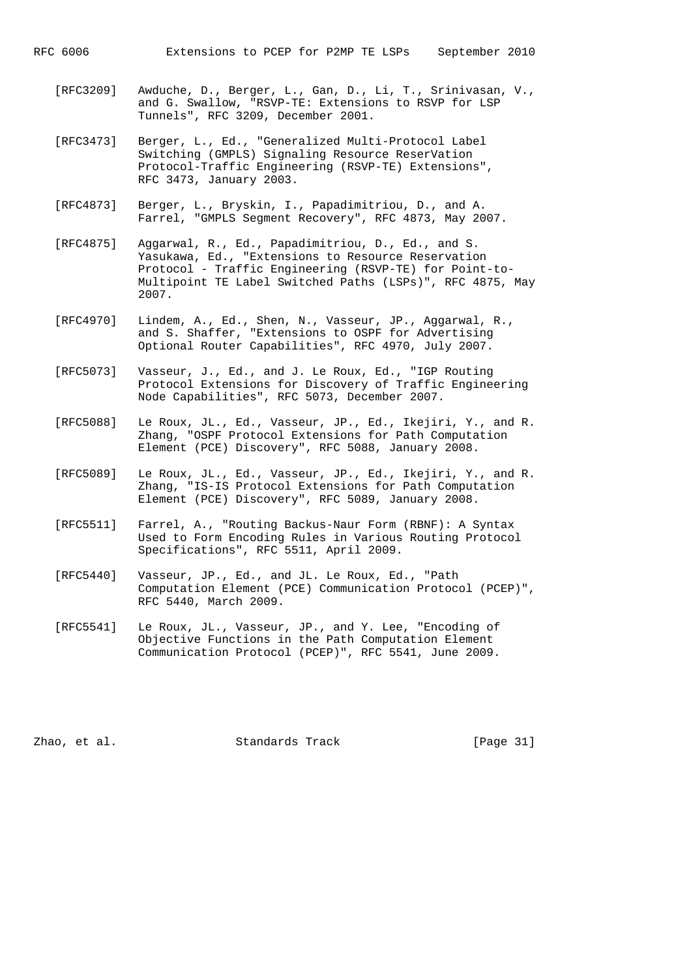- [RFC3209] Awduche, D., Berger, L., Gan, D., Li, T., Srinivasan, V., and G. Swallow, "RSVP-TE: Extensions to RSVP for LSP Tunnels", RFC 3209, December 2001.
- [RFC3473] Berger, L., Ed., "Generalized Multi-Protocol Label Switching (GMPLS) Signaling Resource ReserVation Protocol-Traffic Engineering (RSVP-TE) Extensions", RFC 3473, January 2003.
- [RFC4873] Berger, L., Bryskin, I., Papadimitriou, D., and A. Farrel, "GMPLS Segment Recovery", RFC 4873, May 2007.
- [RFC4875] Aggarwal, R., Ed., Papadimitriou, D., Ed., and S. Yasukawa, Ed., "Extensions to Resource Reservation Protocol - Traffic Engineering (RSVP-TE) for Point-to- Multipoint TE Label Switched Paths (LSPs)", RFC 4875, May 2007.
- [RFC4970] Lindem, A., Ed., Shen, N., Vasseur, JP., Aggarwal, R., and S. Shaffer, "Extensions to OSPF for Advertising Optional Router Capabilities", RFC 4970, July 2007.
- [RFC5073] Vasseur, J., Ed., and J. Le Roux, Ed., "IGP Routing Protocol Extensions for Discovery of Traffic Engineering Node Capabilities", RFC 5073, December 2007.
- [RFC5088] Le Roux, JL., Ed., Vasseur, JP., Ed., Ikejiri, Y., and R. Zhang, "OSPF Protocol Extensions for Path Computation Element (PCE) Discovery", RFC 5088, January 2008.
- [RFC5089] Le Roux, JL., Ed., Vasseur, JP., Ed., Ikejiri, Y., and R. Zhang, "IS-IS Protocol Extensions for Path Computation Element (PCE) Discovery", RFC 5089, January 2008.
- [RFC5511] Farrel, A., "Routing Backus-Naur Form (RBNF): A Syntax Used to Form Encoding Rules in Various Routing Protocol Specifications", RFC 5511, April 2009.
- [RFC5440] Vasseur, JP., Ed., and JL. Le Roux, Ed., "Path Computation Element (PCE) Communication Protocol (PCEP)", RFC 5440, March 2009.
- [RFC5541] Le Roux, JL., Vasseur, JP., and Y. Lee, "Encoding of Objective Functions in the Path Computation Element Communication Protocol (PCEP)", RFC 5541, June 2009.

Zhao, et al. Standards Track [Page 31]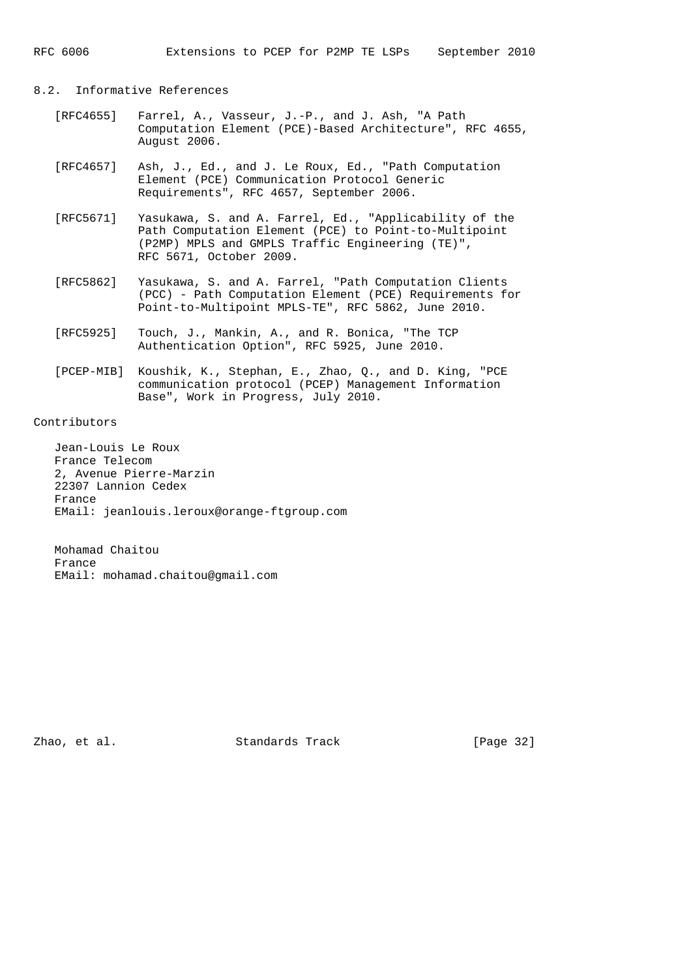## 8.2. Informative References

- [RFC4655] Farrel, A., Vasseur, J.-P., and J. Ash, "A Path Computation Element (PCE)-Based Architecture", RFC 4655, August 2006.
- [RFC4657] Ash, J., Ed., and J. Le Roux, Ed., "Path Computation Element (PCE) Communication Protocol Generic Requirements", RFC 4657, September 2006.
- [RFC5671] Yasukawa, S. and A. Farrel, Ed., "Applicability of the Path Computation Element (PCE) to Point-to-Multipoint (P2MP) MPLS and GMPLS Traffic Engineering (TE)", RFC 5671, October 2009.
- [RFC5862] Yasukawa, S. and A. Farrel, "Path Computation Clients (PCC) - Path Computation Element (PCE) Requirements for Point-to-Multipoint MPLS-TE", RFC 5862, June 2010.
- [RFC5925] Touch, J., Mankin, A., and R. Bonica, "The TCP Authentication Option", RFC 5925, June 2010.
- [PCEP-MIB] Koushik, K., Stephan, E., Zhao, Q., and D. King, "PCE communication protocol (PCEP) Management Information Base", Work in Progress, July 2010.

# Contributors

 Jean-Louis Le Roux France Telecom 2, Avenue Pierre-Marzin 22307 Lannion Cedex France EMail: jeanlouis.leroux@orange-ftgroup.com

 Mohamad Chaitou France EMail: mohamad.chaitou@gmail.com

Zhao, et al. Standards Track [Page 32]